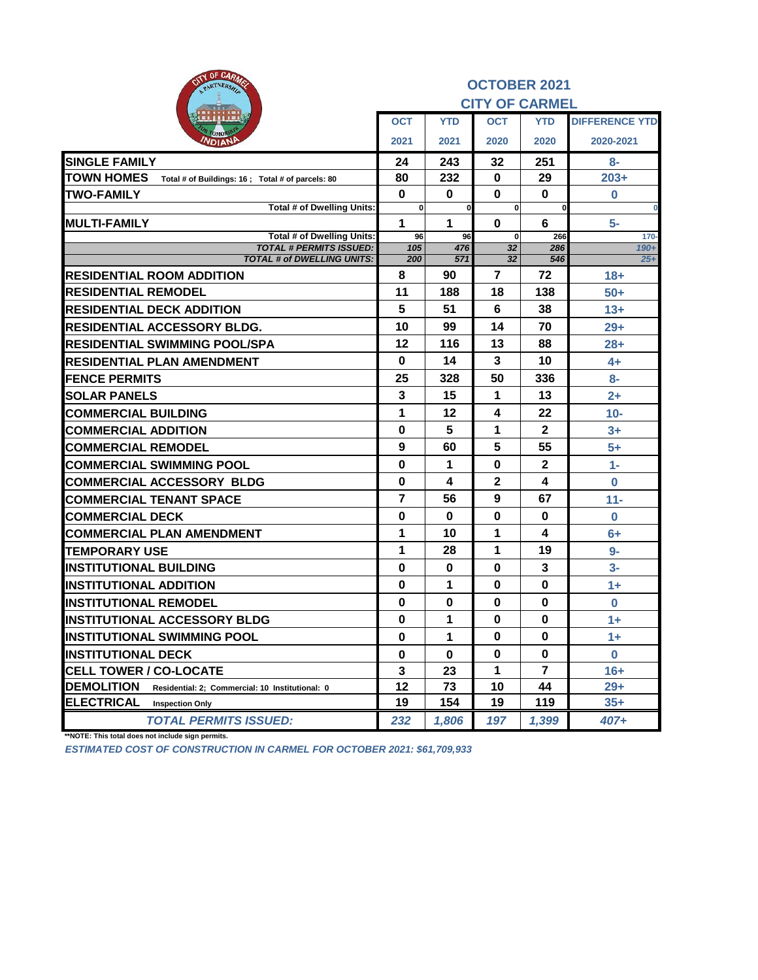| OF CARLO<br>eity<br>PARTNERSHIP                                        |             |              | <b>OCTOBER 2021</b>   |              |                       |
|------------------------------------------------------------------------|-------------|--------------|-----------------------|--------------|-----------------------|
|                                                                        |             |              | <b>CITY OF CARMEL</b> |              |                       |
|                                                                        | <b>OCT</b>  | <b>YTD</b>   | <b>OCT</b>            | <b>YTD</b>   | <b>DIFFERENCE YTD</b> |
| VDIAN                                                                  | 2021        | 2021         | 2020                  | 2020         | 2020-2021             |
| <b>SINGLE FAMILY</b>                                                   | 24          | 243          | 32                    | 251          | 8-                    |
| <b>TOWN HOMES</b><br>Total # of Buildings: 16 ; Total # of parcels: 80 | 80          | 232          | 0                     | 29           | $203+$                |
| <b>TWO-FAMILY</b>                                                      | $\mathbf 0$ | 0            | 0                     | $\bf{0}$     | $\bf{0}$              |
| <b>Total # of Dwelling Units:</b>                                      | $\bf{0}$    | $\mathbf{0}$ | $\mathbf{0}$          | 0            | 0                     |
| <b>IMULTI-FAMILY</b>                                                   | 1           | 1            | 0                     | 6            | 5-                    |
| <b>Total # of Dwelling Units:</b><br><b>TOTAL # PERMITS ISSUED:</b>    | 96<br>105   | 96<br>476    | $\bf{0}$<br>32        | 266<br>286   | $170 -$<br>$190+$     |
| <b>TOTAL # of DWELLING UNITS:</b>                                      | 200         | 571          | 32                    | 546          | $25+$                 |
| <b>RESIDENTIAL ROOM ADDITION</b>                                       | 8           | 90           | 7                     | 72           | $18+$                 |
| <b>RESIDENTIAL REMODEL</b>                                             | 11          | 188          | 18                    | 138          | $50+$                 |
| <b>RESIDENTIAL DECK ADDITION</b>                                       | 5           | 51           | 6                     | 38           | $13+$                 |
| <b>RESIDENTIAL ACCESSORY BLDG.</b>                                     | 10          | 99           | 14                    | 70           | $29+$                 |
| <b>RESIDENTIAL SWIMMING POOL/SPA</b>                                   | 12          | 116          | 13                    | 88           | $28 +$                |
| <b>RESIDENTIAL PLAN AMENDMENT</b>                                      | $\bf{0}$    | 14           | 3                     | 10           | $4+$                  |
| <b>FENCE PERMITS</b>                                                   | 25          | 328          | 50                    | 336          | $8-$                  |
| <b>SOLAR PANELS</b>                                                    | 3           | 15           | 1                     | 13           | $2+$                  |
| <b>COMMERCIAL BUILDING</b>                                             | 1           | 12           | 4                     | 22           | $10-$                 |
| <b>COMMERCIAL ADDITION</b>                                             | $\bf{0}$    | 5            | 1                     | $\mathbf{2}$ | $3+$                  |
| <b>COMMERCIAL REMODEL</b>                                              | 9           | 60           | 5                     | 55           | $5+$                  |
| <b>COMMERCIAL SWIMMING POOL</b>                                        | $\bf{0}$    | 1            | $\bf{0}$              | $\mathbf{2}$ | $1 -$                 |
| <b>COMMERCIAL ACCESSORY BLDG</b>                                       | $\bf{0}$    | 4            | $\mathbf 2$           | 4            | $\bf{0}$              |
| <b>COMMERCIAL TENANT SPACE</b>                                         | 7           | 56           | 9                     | 67           | $11 -$                |
| <b>COMMERCIAL DECK</b>                                                 | 0           | 0            | 0                     | 0            | $\bf{0}$              |
| <b>COMMERCIAL PLAN AMENDMENT</b>                                       | 1           | 10           | 1                     | 4            | $6+$                  |
| <b>TEMPORARY USE</b>                                                   | 1           | 28           | 1                     | 19           | $9-$                  |
| <b>IINSTITUTIONAL BUILDING</b>                                         | $\bf{0}$    | $\bf{0}$     | $\bf{0}$              | 3            | $3-$                  |
| <b>INSTITUTIONAL ADDITION</b>                                          | $\bf{0}$    | 1            | $\bf{0}$              | $\bf{0}$     | $1+$                  |
| <b>INSTITUTIONAL REMODEL</b>                                           | 0           | $\bf{0}$     | 0                     | $\bf{0}$     | $\bf{0}$              |
| <b>INSTITUTIONAL ACCESSORY BLDG</b>                                    | $\mathbf 0$ | 1            | $\bf{0}$              | $\mathbf 0$  | $1+$                  |
| <b>INSTITUTIONAL SWIMMING POOL</b>                                     | $\pmb{0}$   | 1            | 0                     | 0            | $1+$                  |
| <b>INSTITUTIONAL DECK</b>                                              | 0           | 0            | 0                     | 0            | 0                     |
| <b>CELL TOWER / CO-LOCATE</b>                                          | 3           | 23           | 1                     | 7            | $16+$                 |
| <b>DEMOLITION</b><br>Residential: 2; Commercial: 10 Institutional: 0   | 12          | 73           | 10                    | 44           | $29+$                 |
| <b>ELECTRICAL</b><br><b>Inspection Only</b>                            | 19          | 154          | 19                    | 119          | $35+$                 |
| <b>TOTAL PERMITS ISSUED:</b>                                           | 232         | 1,806        | 197                   | 1,399        | 407+                  |

**\*\*NOTE: This total does not include sign permits.**

*ESTIMATED COST OF CONSTRUCTION IN CARMEL FOR OCTOBER 2021: \$61,709,933*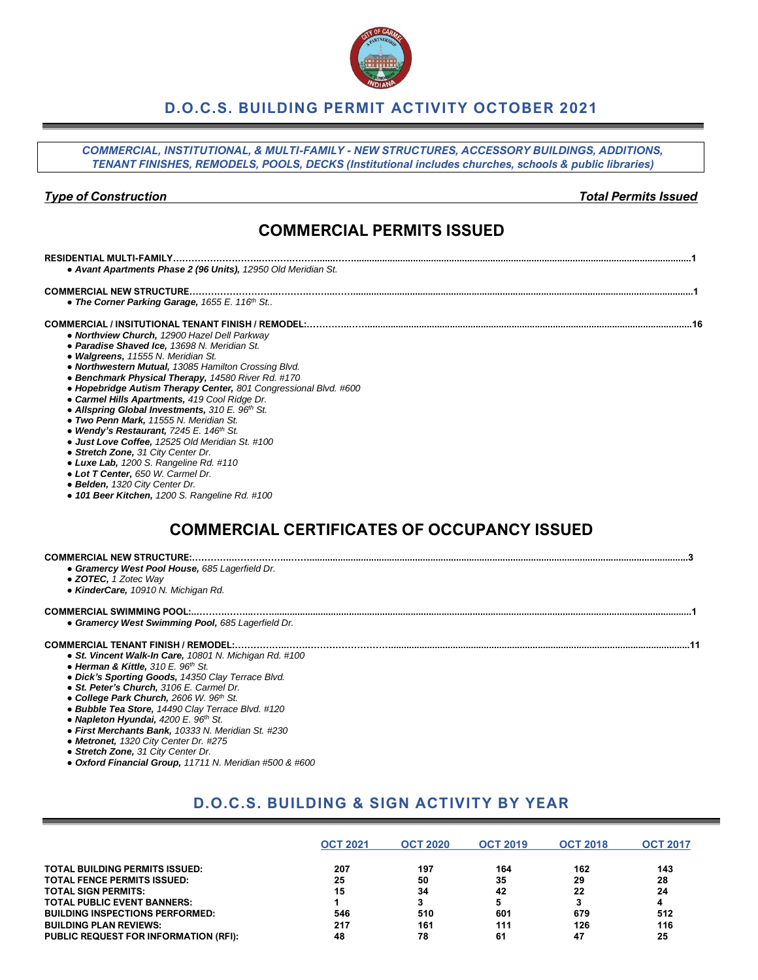## **D.O.C.S. BUILDING PERMIT ACTIVITY OCTOBER 2021**

*COMMERCIAL, INSTITUTIONAL, & MULTI-FAMILY - NEW STRUCTURES, ACCESSORY BUILDINGS, ADDITIONS, TENANT FINISHES, REMODELS, POOLS, DECKS (Institutional includes churches, schools & public libraries)*

#### *Type of Construction Total Permits Issued*

## **COMMERCIAL PERMITS ISSUED**

#### **RESIDENTIAL MULTI-FAMILY………………………..……….………......……...................................................................................................................................1**

*● Avant Apartments Phase 2 (96 Units), 12950 Old Meridian St.*

#### **COMMERCIAL NEW STRUCTURE………………………..……….……...……....................................................................................................................................1** *● The Corner Parking Garage, 1655 E. 116th St..*

**COMMERCIAL / INSITUTIONAL TENANT FINISH / REMODEL:…………..……..............................................................................................................................16**

- *Northview Church, 12900 Hazel Dell Parkway*
- *Paradise Shaved Ice, 13698 N. Meridian St.*
- *Walgreens, 11555 N. Meridian St.*
- *Northwestern Mutual, 13085 Hamilton Crossing Blvd.*
- *Benchmark Physical Therapy, 14580 River Rd. #170*
- *Hopebridge Autism Therapy Center, 801 Congressional Blvd. #600*
- *Carmel Hills Apartments, 419 Cool Ridge Dr.*
- *Allspring Global Investments, 310 E. 96th St.*
- *Two Penn Mark, 11555 N. Meridian St.*
- *Wendy's Restaurant, 7245 E. 146th St.*
- *Just Love Coffee, 12525 Old Meridian St. #100*
- *Stretch Zone, 31 City Center Dr.*
- *Luxe Lab, 1200 S. Rangeline Rd. #110*
- *Lot T Center, 650 W. Carmel Dr.*
- *Belden, 1320 City Center Dr.*
- *101 Beer Kitchen, 1200 S. Rangeline Rd. #100*

# **COMMERCIAL CERTIFICATES OF OCCUPANCY ISSUED**

#### **COMMERCIAL NEW STRUCTURE:…………..……….……...……...................................................................................................................................................3**

- *Gramercy West Pool House, 685 Lagerfield Dr.*
- *ZOTEC, 1 Zotec Way*
- *KinderCare, 10910 N. Michigan Rd.*

#### **COMMERCIAL SWIMMING POOL:..……….……...……...................................................................................................................................................................1**

*● Gramercy West Swimming Pool, 685 Lagerfield Dr.*

#### **COMMERCIAL TENANT FINISH / REMODEL:……………..…….………………………....................................................................................................................11**

- *● St. Vincent Walk-In Care, 10801 N. Michigan Rd. #100*
- *Herman & Kittle, 310 E. 96th St.*
- *Dick's Sporting Goods, 14350 Clay Terrace Blvd.*
- *St. Peter's Church, 3106 E. Carmel Dr.*
- *College Park Church, 2606 W. 96th St.*
- *Bubble Tea Store, 14490 Clay Terrace Blvd. #120*
- *Napleton Hyundai, 4200 E. 96th St.*
- *First Merchants Bank, 10333 N. Meridian St. #230*
- *Metronet, 1320 City Center Dr. #275*
- *Stretch Zone, 31 City Center Dr.*
- *● Oxford Financial Group, 11711 N. Meridian #500 & #600*

# **D.O.C.S. BUILDING & SIGN ACTIVITY BY YEAR**

|                                              | <b>OCT 2021</b> | <b>OCT 2020</b> | <b>OCT 2019</b> | <b>OCT 2018</b> | <b>OCT 2017</b> |
|----------------------------------------------|-----------------|-----------------|-----------------|-----------------|-----------------|
| <b>TOTAL BUILDING PERMITS ISSUED:</b>        | 207             | 197             | 164             | 162             | 143             |
| <b>TOTAL FENCE PERMITS ISSUED:</b>           | 25              | 50              | 35              | 29              | 28              |
| <b>TOTAL SIGN PERMITS:</b>                   | 15              | 34              | 42              | 22              | 24              |
| <b>TOTAL PUBLIC EVENT BANNERS:</b>           |                 | 3               |                 |                 |                 |
| <b>BUILDING INSPECTIONS PERFORMED:</b>       | 546             | 510             | 601             | 679             | 512             |
| <b>BUILDING PLAN REVIEWS:</b>                | 217             | 161             | 111             | 126             | 116             |
| <b>PUBLIC REQUEST FOR INFORMATION (RFI):</b> | 48              | 78              | 61              | 47              | 25              |

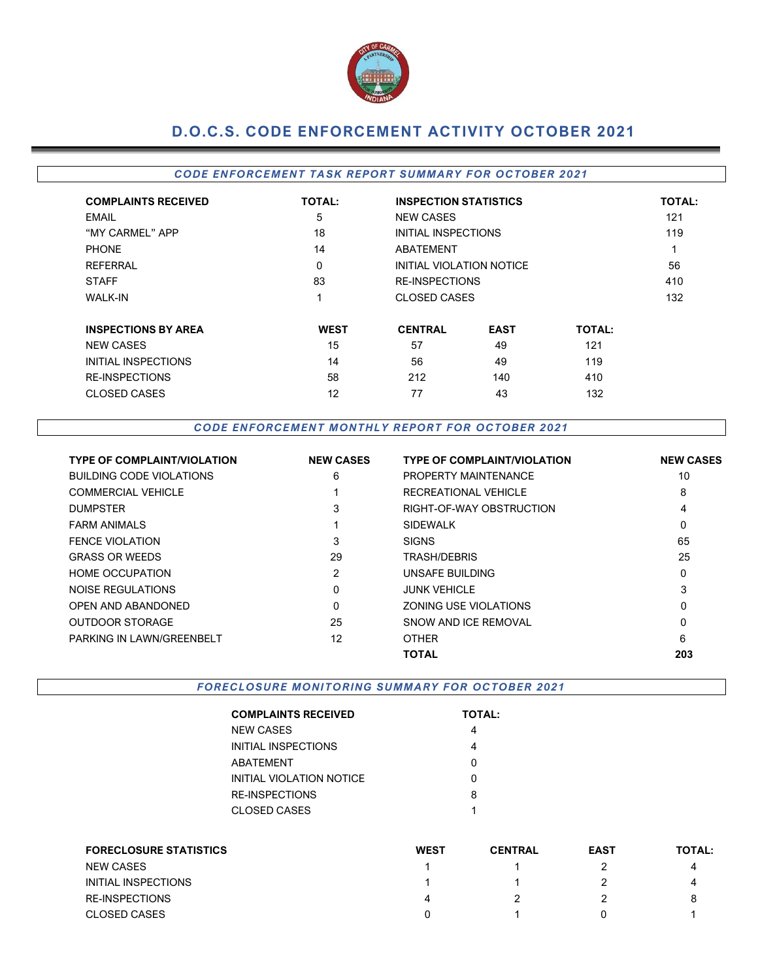

# **D.O.C.S. CODE ENFORCEMENT ACTIVITY OCTOBER 2021**

### *CODE EN FORCEMEN T TA SK REPOR T SUMMARY FOR OCTOBER 2021*

| <b>COMPLAINTS RECEIVED</b> | <b>TOTAL:</b> | <b>INSPECTION STATISTICS</b> |             |               | <b>TOTAL:</b> |
|----------------------------|---------------|------------------------------|-------------|---------------|---------------|
| EMAIL                      | 5             | <b>NEW CASES</b>             |             |               | 121           |
| "MY CARMEL" APP            | 18            | INITIAL INSPECTIONS          |             |               | 119           |
| <b>PHONE</b>               | 14            | <b>ABATEMENT</b>             |             |               | -4            |
| REFERRAL                   | 0             | INITIAL VIOLATION NOTICE     |             |               | 56            |
| <b>STAFF</b>               | 83            | <b>RE-INSPECTIONS</b>        |             |               | 410           |
| <b>WALK-IN</b>             |               | <b>CLOSED CASES</b>          |             |               | 132           |
| <b>INSPECTIONS BY AREA</b> | <b>WEST</b>   | <b>CENTRAL</b>               | <b>EAST</b> | <b>TOTAL:</b> |               |
| <b>NEW CASES</b>           | 15            | 57                           | 49          | 121           |               |
| INITIAL INSPECTIONS        | 14            | 56                           | 49          | 119           |               |
| <b>RE-INSPECTIONS</b>      | 58            | 212                          | 140         | 410           |               |
| <b>CLOSED CASES</b>        | 12            | 77                           | 43          | 132           |               |

#### *CODE EN FORCEM EN T M ONTHLY R EPORT FOR O CTOBER 2021*

| <b>TYPE OF COMPLAINT/VIOLATION</b> | <b>NEW CASES</b> | <b>TYPE OF COMPLAINT/VIOLATION</b> | <b>NEW CASES</b> |
|------------------------------------|------------------|------------------------------------|------------------|
| BUILDING CODE VIOLATIONS           | 6                | PROPERTY MAINTENANCE               | 10               |
| <b>COMMERCIAL VEHICLE</b>          |                  | RECREATIONAL VEHICLE               | 8                |
| <b>DUMPSTER</b>                    | 3                | RIGHT-OF-WAY OBSTRUCTION           | 4                |
| <b>FARM ANIMALS</b>                |                  | <b>SIDEWALK</b>                    | 0                |
| <b>FENCE VIOLATION</b>             | 3                | <b>SIGNS</b>                       | 65               |
| <b>GRASS OR WEEDS</b>              | 29               | TRASH/DEBRIS                       | 25               |
| <b>HOME OCCUPATION</b>             | 2                | UNSAFE BUILDING                    | 0                |
| NOISE REGULATIONS                  | 0                | <b>JUNK VEHICLE</b>                | 3                |
| OPEN AND ABANDONED                 | 0                | ZONING USE VIOLATIONS              | 0                |
| <b>OUTDOOR STORAGE</b>             | 25               | SNOW AND ICE REMOVAL               | 0                |
| PARKING IN LAWN/GREENBELT          | 12               | <b>OTHER</b>                       | 6                |
|                                    |                  | <b>TOTAL</b>                       | 203              |
|                                    |                  |                                    |                  |

FORECLOSURE MONITORING SUMMARY FOR OCTOBER 2021

| <b>COMPLAINTS RECEIVED</b> | <b>TOTAL:</b> |
|----------------------------|---------------|
| NEW CASES                  | 4             |
| INITIAL INSPECTIONS        | 4             |
| ABATEMENT                  | O             |
| INITIAL VIOLATION NOTICE   | ი             |
| RE-INSPECTIONS             | 8             |
| CLOSED CASES               | 1             |
|                            |               |

| <b>FORECLOSURE STATISTICS</b> | <b>WEST</b> | <b>CENTRAL</b> | <b>EAST</b> | <b>TOTAL:</b> |
|-------------------------------|-------------|----------------|-------------|---------------|
| <b>NEW CASES</b>              |             |                |             | 4             |
| INITIAL INSPECTIONS           |             |                |             | 4             |
| <b>RE-INSPECTIONS</b>         | Δ           |                |             |               |
| <b>CLOSED CASES</b>           |             |                |             |               |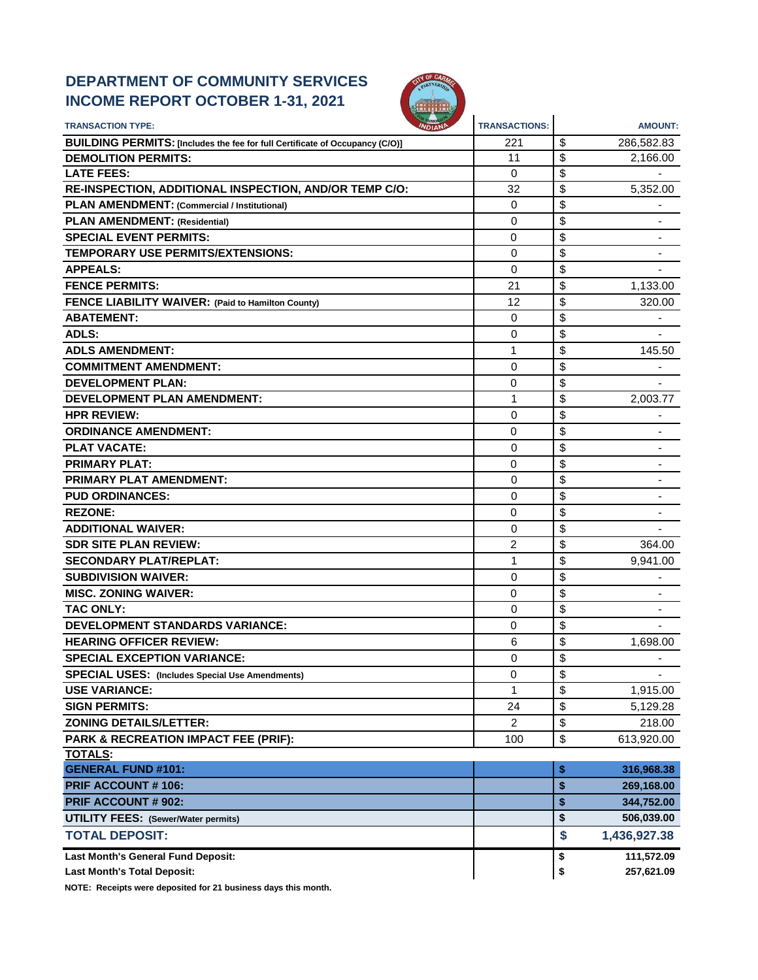# **DEPARTMENT OF COMMUNITY SERVICES INCOME REPORT OCTOBER 1-31, 2021**



| <b>TRANSACTION TYPE:</b>                                                     | <b>TRANSACTIONS:</b> | <b>AMOUNT:</b>       |
|------------------------------------------------------------------------------|----------------------|----------------------|
| BUILDING PERMITS: [Includes the fee for full Certificate of Occupancy (C/O)] | 221                  | \$<br>286,582.83     |
| <b>DEMOLITION PERMITS:</b>                                                   | 11                   | \$<br>2,166.00       |
| <b>LATE FEES:</b>                                                            | 0                    | \$                   |
| RE-INSPECTION, ADDITIONAL INSPECTION, AND/OR TEMP C/O:                       | 32                   | \$<br>5,352.00       |
| <b>PLAN AMENDMENT: (Commercial / Institutional)</b>                          | 0                    | \$                   |
| <b>PLAN AMENDMENT: (Residential)</b>                                         | 0                    | \$                   |
| <b>SPECIAL EVENT PERMITS:</b>                                                | 0                    | \$                   |
| <b>TEMPORARY USE PERMITS/EXTENSIONS:</b>                                     | 0                    | \$                   |
| <b>APPEALS:</b>                                                              | $\Omega$             | \$                   |
| <b>FENCE PERMITS:</b>                                                        | 21                   | \$<br>1,133.00       |
| <b>FENCE LIABILITY WAIVER: (Paid to Hamilton County)</b>                     | 12                   | \$<br>320.00         |
| <b>ABATEMENT:</b>                                                            | 0                    | \$                   |
| <b>ADLS:</b>                                                                 | $\Omega$             | \$                   |
| <b>ADLS AMENDMENT:</b>                                                       | 1                    | \$<br>145.50         |
| <b>COMMITMENT AMENDMENT:</b>                                                 | 0                    | \$                   |
| <b>DEVELOPMENT PLAN:</b>                                                     | 0                    | \$                   |
| <b>DEVELOPMENT PLAN AMENDMENT:</b>                                           | 1                    | \$<br>2,003.77       |
| <b>HPR REVIEW:</b>                                                           | 0                    | \$                   |
| <b>ORDINANCE AMENDMENT:</b>                                                  | 0                    | \$                   |
| <b>PLAT VACATE:</b>                                                          | 0                    | \$                   |
| <b>PRIMARY PLAT:</b>                                                         | 0                    | \$                   |
| <b>PRIMARY PLAT AMENDMENT:</b>                                               | 0                    | \$                   |
| <b>PUD ORDINANCES:</b>                                                       | $\Omega$             | \$                   |
| <b>REZONE:</b>                                                               | 0                    | \$                   |
| <b>ADDITIONAL WAIVER:</b>                                                    | 0                    | \$                   |
| <b>SDR SITE PLAN REVIEW:</b>                                                 | 2                    | \$<br>364.00         |
| <b>SECONDARY PLAT/REPLAT:</b>                                                | 1                    | \$<br>9,941.00       |
| <b>SUBDIVISION WAIVER:</b>                                                   | 0                    | \$                   |
| <b>MISC. ZONING WAIVER:</b>                                                  | 0                    | \$                   |
| <b>TAC ONLY:</b>                                                             | 0                    | \$                   |
| <b>DEVELOPMENT STANDARDS VARIANCE:</b>                                       | 0                    | \$                   |
| <b>HEARING OFFICER REVIEW:</b>                                               | 6                    | \$<br>1,698.00       |
| <b>SPECIAL EXCEPTION VARIANCE:</b>                                           | 0                    | \$<br>$\blacksquare$ |
| <b>SPECIAL USES:</b> (Includes Special Use Amendments)                       | 0                    | \$                   |
| <b>USE VARIANCE:</b>                                                         | 1                    | \$<br>1,915.00       |
| <b>SIGN PERMITS:</b>                                                         | 24                   | \$<br>5,129.28       |
| <b>ZONING DETAILS/LETTER:</b>                                                | 2                    | \$<br>218.00         |
| PARK & RECREATION IMPACT FEE (PRIF):                                         | 100                  | \$<br>613,920.00     |
| TOTALS:                                                                      |                      |                      |
| <b>GENERAL FUND #101:</b>                                                    |                      | \$<br>316,968.38     |
| <b>PRIF ACCOUNT #106:</b>                                                    |                      | \$<br>269,168.00     |
| <b>PRIF ACCOUNT # 902:</b>                                                   |                      | \$<br>344,752.00     |
| <b>UTILITY FEES: (Sewer/Water permits)</b>                                   |                      | \$<br>506,039.00     |
| <b>TOTAL DEPOSIT:</b>                                                        |                      | \$<br>1,436,927.38   |
| Last Month's General Fund Deposit:                                           |                      | \$<br>111,572.09     |
| <b>Last Month's Total Deposit:</b>                                           |                      | \$<br>257,621.09     |

**NOTE: Receipts were deposited for 21 business days this month.**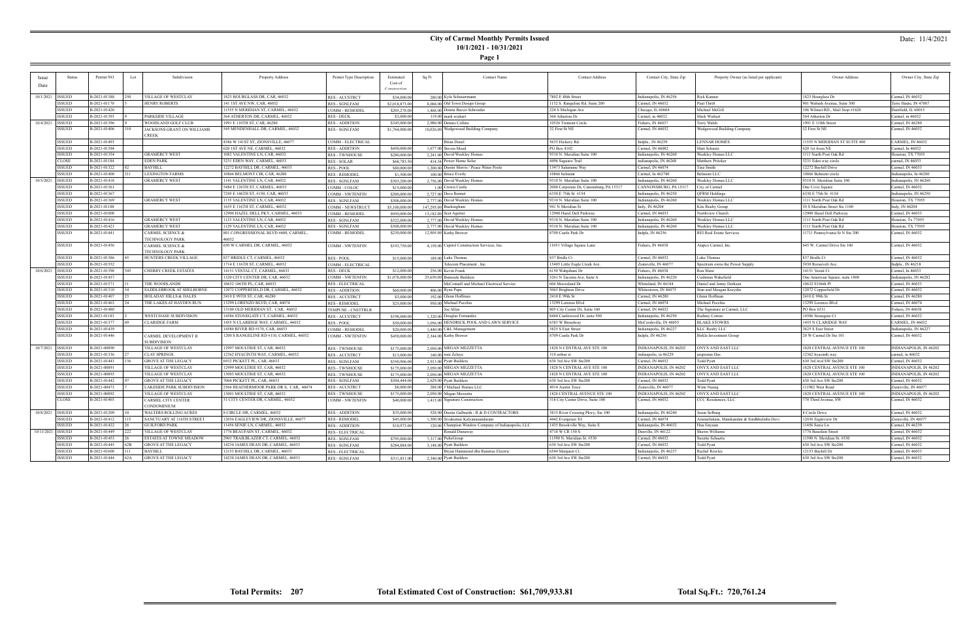**Page 1**

### Date: 11/4/2021

| Issue              | <b>Status</b>                  | Permit NO                    | Lot  | Subdivision                      | Property Address                                                 | Permit Type Description                       | Estimated                 | Sq Ft | <b>Contact Name</b>                                 | <b>Contact Address</b>                  | Contact City, State Zip                     | Property Owner (as listed per applicant)            | Owner Address                           | Owner City, State Zip                |
|--------------------|--------------------------------|------------------------------|------|----------------------------------|------------------------------------------------------------------|-----------------------------------------------|---------------------------|-------|-----------------------------------------------------|-----------------------------------------|---------------------------------------------|-----------------------------------------------------|-----------------------------------------|--------------------------------------|
| Date               |                                |                              |      |                                  |                                                                  |                                               | Cost of                   |       |                                                     |                                         |                                             |                                                     |                                         |                                      |
|                    |                                |                              |      |                                  |                                                                  |                                               | Construction              |       |                                                     |                                         |                                             |                                                     |                                         |                                      |
| 10/1/2021   ISSUED |                                | B-2021-01388                 | 250. | <b>VILLAGE OF WESTCLAY</b>       | 1823 HOURGLASS DR, CAR, 46032                                    | <b>RES - ACCSTRCT</b>                         | \$34,000.00               |       | 280.00 Kyla Scheuermann                             | 7802 E 88th Street                      | Indianapolis, IN 46256                      | Rick Kanne                                          | 1823 Hourglass Dr.                      | Carmel, IN 46032                     |
|                    | <b>ISSUED</b>                  | B-2021-01170                 |      | <b>HENRY ROBERTS</b>             | 141 1ST AVE NW, CAR, 46032                                       | <b>RES - SGNLFAM</b>                          | \$2,018,873.00            |       | 8,068,00 Old Town Design Group                      | 1132 S. Rangeline Rd. Suite 200         | Carmel, IN 46032                            | Paul Thrift                                         | 901 Wabash Avenue, Suite 300            | Ferre Haute. IN 47807                |
|                    | <b>ISSUED</b>                  | B-2021-01420                 |      |                                  | 1555 N MERIDIAN ST, CARMEL, 46032                                | COMM - REMODEI                                | \$205,278.00              |       | 1,468.00 Donna Becco-Schroede                       | 224 S Michigan Ave                      | Chicago, IL 60604                           | Michael McGill                                      | 106 Wilmot RD., Mail Stop #1620         | Deerfield, IL 60015                  |
|                    | <b>ISSUED</b>                  | B-2021-01393                 |      | PARKSIDE VILLAGE                 | 364 ATHERTON DR, CARMEL, 46032                                   | RES - DECK                                    | \$3,000.00                |       | 119.00 mark wishart                                 | 364 Atherton Dr                         | Carmel, in 46032                            | Mark Wishart                                        | 364 Atherton Dr                         | Carmel, in 46032                     |
| 10/4/2021          | <b>ISSUED</b>                  | B-2021-01396                 |      | WOODLAND GOLF CLUB               | 991 E 110TH ST, CAR, 46280                                       | <b>RES - ADDITION</b>                         | \$345,000.00              |       | 2,980.00 Dennis Collins                             | 10526 Tremont Circle                    | Fishers, IN 46037                           | Terry Walsh                                         | 1991 E 110th Street                     | Carmel, IN 46280                     |
|                    | <b>ISSUED</b>                  | B-2021-01406                 |      | JACKSONS GRANT ON WILLIAMS       | 545 MENDENHALL DR, CARMEL, 46032                                 | <b>RES - SGNLFAM</b>                          | \$1,764,000.00            |       | 10,026.00 Wedgewood Building Company                | 32 First St NE                          | Carmel, IN 46032                            | Wedgewood Building Company                          | 32 First St NE                          | Carmel, IN 46032                     |
|                    |                                |                              |      | CREEK                            |                                                                  |                                               |                           |       |                                                     |                                         |                                             |                                                     |                                         |                                      |
|                    | <b>ISSUED</b>                  | B-2021-01493                 |      |                                  | 4386 W 141ST ST, ZIONSVILLE, 46077                               | COMM - ELECTRICAL                             |                           |       | <b>Brian Distel</b>                                 | 5635 Hickory Rd                         | Indpls., IN 46239                           | <b>LENNAR HOMES</b>                                 | 11555 N MERIDIAN ST SUITE 400           | CARMEL, IN 46032                     |
|                    | <b>ISSUED</b>                  | B-2021-01394                 |      |                                  | 620 1ST AVE NE, CARMEL, 46032                                    | <b>RES - ADDITION</b>                         | \$450,000.00              |       | 1,677.00 Steven Moed                                | PO Box 4102                             | Carmel, IN 46082                            | Matt Schuetz                                        | 620 1st Aven NE                         | Carmel, In 46032                     |
|                    | <b>ISSUED</b>                  | B-2021-01354                 |      | <b>GRAMERCY WEST</b>             | 082 VALENTINE LN, CAR, 46032                                     | <b>RES - TWNHOUSI</b>                         | \$280,000.00              |       | 2,241.00 David Weekley Homes                        | 9310 N. Meridian Suite 100              | Indianapolis, IN 46260                      | Weekley Homes LLC                                   | 1111 North Post Oak Rd                  | Iouston, TX 77055                    |
|                    | <b>CLOSE</b>                   | B-2021-01184                 |      | <b>EDEN PARK</b>                 | 3231 EDEN WAY, CARMEL, 46033                                     | RES - SOLAR                                   | \$68,785.50               |       | 414.54 Power Home Solar                             | 4496 Saguaro Trail                      | indianapolis, IN 46268                      | Matthew Pritzke                                     | 3231 Eden way circle                    | armel, IN 46033                      |
|                    | <b>ISSUED</b>                  | B-2021-01322                 |      | <b>BAYHILL</b>                   | 2272 BAYHILL DR, CARMEL, 46033                                   | <b>RES - POOL</b>                             | \$80,000.00               |       | 1,200.00 Dustin Morris / Peace Water Pools          | 13473 Salamone Way                      | Carmel, IN 46074                            | Tina Smith                                          | 12272 Bayhill Drive                     | Carmel, IN 46033                     |
|                    | <b>ISSUED</b>                  | B-2021-01400                 |      | <b>LEXINGTON FARMS</b>           | 0866 BELMONT CIR, CAR, 46280                                     | <b>RES - REMODEI</b>                          | \$1,500.00                |       | 100.00 Bruce Everly                                 | 10866 belmont                           | Carmel. In 462780                           | <b>Belmont LLC</b>                                  | 10866 Belmont circle                    | Indianapolis, In 46280               |
| 10/5/2021 ISSUED   |                                | B-2021-01418                 |      | <b>GRAMERCY WEST</b>             | 141 VALENTINE LN, CAR, 46032                                     | <b>RES - SGNLFAM</b>                          | \$303,200.00              |       | 2,756,00 David Weekley Homes                        | 9310 N. Meridian Suite 100              | Indianapolis, IN 46260                      | Weekley Homes LLC                                   | 9310 N. Meridian Suite 100              | ndianapolis, IN 46260                |
|                    | <b>ISSUED</b>                  | B-2021-01361                 |      |                                  | 5484 E 126TH ST, CARMEL, 46033                                   | COMM - COLOC                                  | \$15,000.00               |       | 1.00 Crown Castle                                   | 2000 Corporate Dr, Canonsburg, PA 15317 | CANNONSBURG, PA 15317                       | City of Carmel                                      | One Civic Square                        | Carmel, IN 46032                     |
|                    | <b>ISSUED</b>                  | B-2021-01367                 |      |                                  | 7245 E 146TH ST, #150, CAR, 46033                                | COMM - NWTENFIN                               | \$200,000.00              |       | 2,727.00 Dave Bennet                                | 6330 E 75th St #154                     | Indianapolis, IN 46250                      | <b>QFRM Holdings</b>                                | 6330 E 75th St #154                     | ndianapolis, IN 46250                |
|                    | <b>ISSUED</b>                  | B-2021-01369                 |      | <b>GRAMERCY WEST</b>             | 135 VALENTINE LN, CAR, 46032                                     | <b>RES - SGNLFAM</b>                          | \$308,000.00              |       | 2,777.00 David Weekley Homes                        | 9310 N. Meridian Suite 100              | Indianapolis, IN 46260                      | Weekley Homes LLC                                   | 1111 North Post Oak Rd                  | Iouston, TX 77055                    |
|                    | <b>ISSUED</b>                  | B-2021-01188                 |      |                                  | 1655 E 116TH ST, CARMEL, 46032                                   | COMM - NEWSTRUCT                              | \$5,100,000.00            |       | 147,295.00 Buckingham                               | 941 N Meridian St                       | Indy, IN 46204                              | Kite Realty Group                                   | 30 S Meridian Street Ste 1100           | Indy, IN 46204                       |
|                    | <b>ISSUED</b>                  | B-2021-01008                 |      |                                  | 2900 HAZEL DELL PKY, CARMEL, 46033                               | COMM - REMODEL                                | \$950,000.00              |       | 13.182.00 Scot Agerter                              | 12900 Hazel Dell Parkway                | Carmel, IN 46033                            | Northview Church                                    | 12900 Hazel Dell Parkway                | Carmel, IN 46033                     |
|                    | <b>ISSUED</b>                  | B-2021-01416                 |      | <b>GRAMERCY WEST</b>             | 123 VALENTINE LN, CAR, 46032                                     | <b>RES - SGNLFAM</b>                          | \$322,000.00              |       | 2,777.00 David Weekley Homes                        | 9310 N. Meridian Suite 100              | Indianapolis, IN 46260                      | Weekley Homes LLC                                   | 1111 North Post Oak Rd                  | Iouston, Tx 77055                    |
|                    | <b>ISSUED</b>                  | B-2021-01423                 |      | <b>GRAMERCY WEST</b>             | 129 VALENTINE LN, CAR, 46032                                     | <b>RES - SGNLFAM</b>                          | \$308,000.00              |       | 2,777.00 David Weekley Homes                        | 9310 N. Meridian Suite 100              | Indianapolis, IN 46260                      | Weekley Homes LLC                                   | 1111 North Post Oak Rd                  | ouston, TX 77055                     |
|                    | <b>ISSUED</b>                  | B-2021-01441                 |      | CARMEL SCIENCE &                 | 801 CONGRESSIONAL BLVD #600, CARMEL,                             | COMM - REMODEL                                | \$230,000.00              |       | 12,905,00 Kathy Brewer                              | 8709 Castle Park Dr                     | Indpls, IN 46256                            | <b>REI Real Estate Services</b>                     | 11711 Pennsylvania St N Ste 200         | Carmel, IN 46032                     |
|                    |                                |                              |      | TECHNOLOGY PARK                  | 6022                                                             |                                               |                           |       |                                                     |                                         |                                             |                                                     |                                         |                                      |
|                    | <b>ISSUED</b>                  | B-2021-01456                 |      | CARMEL SCIENCE &                 | 650 W CARMEL DR, CARMEL, 46032                                   | COMM - NWTENFIN                               | \$193,750.00              |       | 4,159,00 Capitol Construction Services, Inc.        | 11051 Village Square Lane               | Fishers, IN 46038                           | Atapco Carmel, Inc.                                 | 645 W. Carmel Drive Ste 160             | Carmel, IN 46032                     |
|                    |                                |                              |      | <b><i>TECHNOLOGY PARK</i></b>    |                                                                  |                                               |                           |       |                                                     |                                         |                                             |                                                     |                                         |                                      |
|                    | <b>ISSUED</b>                  | B-2021-01386                 |      | HUNTERS CREEK VILLAGE            | 837 BRIDLE CT, CARMEL, 46032                                     | <b>RES - POOL</b>                             | \$15,000.0                |       | 189,00 Luke Thomas                                  | 837 Bridle Ct                           | Carmel, IN 46032                            | Luke Thomas                                         | 837 Bridle Ct                           | Carmel, IN 46032                     |
|                    | <b>ISSUED</b>                  | B-2021-01552                 |      |                                  | 714 E 116TH ST, CARMEL, 46032                                    | COMM - ELECTRICAL                             |                           |       | Felecom Placement, Inc.                             | 15405 Little Eagle Creek Ave.           | Zionsville, IN 46077                        | Spectrum owns the Power Supply                      | 3030 Roosevelt Ave.                     | Indpls., IN 46218                    |
| 10/6/2021          | <b>ISSUED</b><br><b>ISSUED</b> | B-2021-01398                 | 345  | CHERRY CREEK ESTATES             | 14151 VESTAL CT, CARMEL, 46033                                   | <b>RES - DECK</b>                             | \$12,000.00               |       | 256.00 Kevin Frank                                  | 6150 Wahpihani Dı                       | Fishers, IN 46038                           | Ron Shaw<br>Cushman Wakefield                       | 14151 Vestal Ct                         | Carmel, In 46033                     |
|                    | <b>ISSUED</b>                  | B-2021-01457<br>B-2021-01571 |      | THE WOODLANDS                    | 320 CITY CENTER DR, CAR, 46032                                   | COMM - NWTENFIN                               | \$1,078,000.00            |       | 25,650.00 Burnside Builders                         | 5261 N Tacoma Ave, Suite A              | Indianapolis, IN 46220                      |                                                     | One American Square, suite 1800         | Indianapolis, IN 46282               |
|                    | <b>ISSUED</b>                  | B-2021-01310                 |      | SADDLEBROOK AT SHELBORNE         | 10632 106TH PL, CAR, 4603<br>12072 COPPERFIELD DR, CARMEL, 46032 | <b>RES - ELECTRICAI</b>                       |                           |       | McConnell and Michael Electrical Service            | 606 Mooreland Dr<br>5065 Brighton Drive | Whiteland, IN 46184<br>Whitestown, IN 46075 | Daniel and Jenny Derksen<br>Stan and Meagan Kreydin | 10632 E106th Pl<br>12072 Copperfield Dr | Carmel, IN 46033<br>Carmel, IN 46032 |
|                    | <b>ISSUED</b>                  | B-2021-01407                 |      | <b>HOLADAY HILLS &amp; DALES</b> | 2410 E 99TH ST, CAR, 46280                                       | <b>RES - ADDITION</b>                         | \$60,000.00<br>\$3,000.00 |       | 406.00 Ryan Pape<br>192.00 Glenn Hoffman            | 2410 E 99th St                          | Carmel, IN 46280                            | Glenn Hoffman                                       | 2410 E 99th St                          | Carmel, IN 46280                     |
|                    | <b>ISSUED</b>                  | B-2021-01463                 |      | THE LAKES AT HAYDEN RUN          | 3299 LORENZO BLVD, CAR, 46074                                    | <b>RES - ACCSTRCT</b><br><b>RES - REMODEL</b> | \$25,000.00               |       | 950.00 Michael Pecchia                              | 13299 Lorenzo Blvd                      | Carmel, IN 46074                            | Michael Pecchia                                     | 13299 Lorenzo Blvd                      | Carmel, IN 46074                     |
|                    | <b>ISSUED</b>                  | B-2021-01480                 |      |                                  | 3100 OLD MERIDIAN ST, CAR, 46032                                 | <b>TEMPUSE - CNSTTRLR</b>                     |                           |       | Joe Allen                                           | 805 City Center Dr, Suite 160           | Carmel, IN 46032                            | The Signature at Carmel, LLC                        | PO Box 6331                             | Fishers, IN 46038                    |
|                    | <b>ISSUED</b>                  | B-2021-01183                 |      | <b>WESTCHASE SUBDIVISION</b>     | 14586 STONEGATE CT, CARMEL, 46032                                | <b>RES - ACCSTRCT</b>                         | \$198,000.00              |       | 1.320.00 Douglas Fernandes                          | 8444 Castlewood Dr, suite 500           | Indianapolis, IN 46250                      | Rodney Cotton                                       | 14586 Stonegate Ct                      | Carmel, IN 46032                     |
|                    | <b>ISSUED</b>                  | B-2021-01377                 |      | <b>CLARIDGE FARM</b>             | 1455 N CLARIDGE WAY, CARMEL, 46032                               | <b>RES-POOL</b>                               | \$50,000.00               |       | 1,056,00 HENDRICK POOL AND LAWN SERVICE             | 6383 W Broadway                         | McCordsville, IN 46055                      | <b>BLAKE STOWRS</b>                                 | 1455 N CLARIDGE WAY                     | CARMEL, IN 46032                     |
|                    | <b>ISSUED</b>                  | B-2021-01439                 |      |                                  | 4580 RIVER RD #170, CAR, 46033                                   | COMM - REMODEL                                | \$20,000.00               |       | 1,440,00 C&L Management                             | 3825 S East Street                      | Indianapolis, IN 46227                      | <b>KLC Realty LLC</b>                               | 3825 S East Street                      | ndianapolis, IN 4622                 |
|                    | <b>ISSUED</b>                  | B-2021-01446                 |      | CARMEL DEVELOPMENT II            | 200 S RANGELINE RD #110, CARMEL, 46032                           | COMM - NWTENFIN                               | \$450,000.00              |       | 2,344.00 Kathy Brewer                               | 8709 Castle Park Dr                     | Indpls, IN 46256                            | Birkla Investment Group                             | 20 W Carmel Dr Ste 101                  | Carmel, IN 46032                     |
|                    |                                |                              |      | <b>SUBDIVISION</b>               |                                                                  |                                               |                           |       |                                                     |                                         |                                             |                                                     |                                         |                                      |
| 10/7/2021 ISSUED   |                                | B-2021-00890                 |      | <b>VILLAGE OF WESTCLAY</b>       | 2997 MOULTRIE ST, CAR, 46032                                     | <b>RES - TWNHOUSE</b>                         | \$175,000.00              |       | 2,050,00 MEGAN MEZZETTA                             | 1828 N CENTRAL AVE STE 100              | INDIANAPOLIS, IN 46202                      | ONYX AND EAST LLC                                   | 1828 CENTRAL AVENUE STE 100             | NDIANAPOLIS, IN 46202                |
|                    | <b>ISSUED</b>                  | B-2021-01336                 |      | <b>CLAY SPRINGS</b>              | 2362 HYACINTH WAY, CARMEL, 46032                                 | <b>RES - ACCSTRCT</b>                         | \$13,000.00               |       | 140.00 roni Zelaya                                  | 310 arthur st                           | indinapolis, in 46229                       | arupratan Das                                       | 12362 hyacinth way                      | carmel, in 46032                     |
|                    | <b>ISSUED</b>                  | B-2021-01443                 | 36   | <b>GROVE AT THE LEGACY</b>       | 5932 PICKETT PL, CAR, 46033                                      | <b>RES - SGNLFAM</b>                          | \$350,906.00              |       | 2,913.00 Pyatt Builders                             | 630 3rd Ave SW Ste200                   | Carmel, IN 46032                            | Todd Pyatt                                          | 630 3rd Avd SW Ste200                   | Carmel, IN 46032                     |
|                    | <b>ISSUED</b>                  | B-2021-00891                 |      | VILLAGE OF WESTCLAY              | 2999 MOULTRIE ST, CAR, 46032                                     | <b>RES - TWNHOUSE</b>                         | \$175,000.00              |       | 2,050,00 MEGAN MEZZETTA                             | 1828 N CENTRAL AVE STE 100              | INDIANAPOLIS, IN 46202                      | <b>ONYX AND EAST LLC</b>                            | 1828 CENTRAL AVENUE STE 100             | INDIANAPOLIS, IN 46202               |
|                    | <b>ISSUED</b>                  | B-2021-00893                 |      | <b>VILLAGE OF WESTCLAY</b>       | 3003 MOULTRIE ST, CAR, 46032                                     | <b>RES - TWNHOUSE</b>                         | \$175,000.00              |       | 2,050.00 MEGAN MEZZETTA                             | 1828 N CENTRAL AVE STE 100              | INDIANAPOLIS, IN 46202                      | ONYX AND EAST LLC                                   | 1828 CENTRAL AVENUE STE 100             | NDIANAPOLIS, IN 46202                |
|                    | <b>ISSUED</b>                  | B-2021-01442                 |      | <b>GROVE AT THE LEGACY</b>       | 7004 PICKETT PL, CAR, 46033                                      | <b>RES - SGNLFAM</b>                          | \$304,444.00              |       | 2.629.00 Pyatt Builders                             | 630 3rd Ave SW Ste200                   | Carmel, IN 46032                            | Todd Pyatt                                          | 630 3rd Ave SW Ste200                   | Carmel, IN 46032                     |
|                    | <b>ISSUED</b>                  | B-2021-00473                 |      | LAKESIDE PARK SUBDIVISION        | 2566 HEATHERMOOR PARK DR S, CAR, 46074                           | <b>RES - ACCSTRCT</b>                         | \$8,000.00                |       | 288.00 J Michael Homes LLC                          | 4914 Austin Trace                       | Zionsville, IN 46077                        | Winn Naun                                           | 111982 West Road                        | ionzville, IN 46077                  |
|                    | <b>ISSUED</b>                  | B-2021-00892                 |      | VILLAGE OF WESTCLAY              | 3001 MOULTRIE ST, CAR, 46032                                     | <b>RES - TWNHOUSE</b>                         | \$175,000.00              |       | 2,050.00 Megan Mezzetta                             | 1828 CENTRAL AVENUE STE 100             | INDIANAPOLIS, IN 46202                      | <b>ONYX AND EAST LLC</b>                            | 1828 CENTRAL AVENUE STE 100             | INDIANAPOLIS, IN 46202               |
|                    | <b>CLOSE</b>                   | B-2021-01403                 |      | CARMEL CITY CENTER               | 11 CITY CENTER DR, CARMEL, 46032                                 | COMM - NWTENFIN                               | \$40,000.00               |       | 1,415,00 Signature Construction                     | 318 City Center Drive, Suite 100        | Carmel, IN 46032                            | CCC Residences, LLC                                 | 770 Third Avenue, SW                    | Carmel, IN 46032                     |
|                    |                                |                              |      | CONDOMINIUM                      |                                                                  |                                               |                           |       |                                                     |                                         |                                             |                                                     |                                         |                                      |
| 10/8/2021 ISSUED   |                                | B-2021-01209                 |      | <b>WALTERS ROLLING ACRES</b>     | 8 CIRCLE DR. CARMEL, 46032                                       | <b>RES - ADDITION</b>                         | \$35,000.00               |       | 528.00 Dustin Galbraith - R & D CONTRACTORS         | 3815 River Crossing Pkwy, Ste 100       | Indianapolis, IN 46240                      | Jason Selburg                                       | 8 Circle Drive                          | Carmel, IN 46032                     |
|                    | <b>ISSUED</b>                  | B-2021-01412                 | 115  | SANCTUARY AT 116TH STREET        | 12036 EAGLEVIEW DR, ZIONSVILLE, 46077                            | <b>RES - REMODEL</b>                          | \$45,000.00               |       | 1.500.00 Sivakumar Kalyanasundaram                  | 4442 Evergreen Trl                      | Carmel, IN 46074                            | Arunachalam, Manikandan & Sindhhulatha Devi         | 12036 Eagleview Dr                      | Zionsville, IN 46077                 |
|                    | <b>ISSUED</b>                  | B-2021-01422                 |      | <b>GUILFORD PARK</b>             | 1456 SENIE LN, CARMEL, 46032                                     | <b>RES - ADDITION</b>                         | \$10,973.00               |       | 120.00 Champion Window Company of Indianapolis, LLC | 1435 Brookville Way, Suite E            | Indianapolis, IN 46032                      | Hua Jinyuan                                         | 11456 Senie Ln                          | Carmel, IN 46239                     |
| 10/11/2021 ISSUED  |                                | B-2021-01449                 | 222  | VILLAGE OF WESTCLAY              | 1776 BEAUFAIN ST, CARMEL, 46032                                  | <b>RES - ELECTRICAI</b>                       |                           |       | <b>Ronald Dunaway</b>                               | 4718 W CR 150 S                         | Danville, IN 46122                          | Shawn William                                       | 1776 Beaufain Street                    | Carmel, IN 46032                     |
|                    | <b>ISSUED</b>                  | B-2021-01453                 |      | ESTATES AT TOWNE MEADOW          | 2903 TRAILBLAZER CT, CARMEL, 46032                               | <b>RES - SGNLFAM</b>                          | \$795,000.00              |       | 7.317.00 PulteGroup                                 | 11590 N. Meridian St. #530              | Carmel, IN 46032                            | Suzette Schuett                                     | 11590 N. Meridian St. #530              | Carmel, IN 46032                     |
|                    | <b>ISSUED</b>                  | B-2021-01445                 | 62B  | <b>GROVE AT THE LEGACY</b>       | 14234 JAMES DEAN DR, CARMEL, 46033                               | <b>RES - SGNLFAM</b>                          | \$284,884.00              |       | 3 148 00 Pvatt Builders                             | 630 3rd Ave SW Ste200                   | Carmel. IN 46032                            | <b>Todd Pvatt</b>                                   | 630 3rd Ave SW Ste200                   | Carmel, IN 46032                     |
|                    | <b>ISSUED</b>                  | B-2021-01608                 | 111  | <b>BAYHILL</b>                   | 2153 BAYHILL DR, CARMEL, 46033                                   | <b>RES - ELECTRICAL</b>                       |                           |       | Bryan Hammond dba Raintree Electric                 | 6544 Margaret Ct.                       | Indianapolis, IN 4623                       | Rachel Rowley                                       | 12153 Bayhill Dr                        | Carmel, IN 46033                     |
|                    | <b>ISSUED</b>                  | B-2021-01444                 | 62A  | <b>GROVE AT THE LEGACY</b>       | 14238 JAMES DEAN DR, CARMEL, 46033                               | <b>RES - SGNLFAM</b>                          | \$311,831.00              |       | 2,340.00 Pyatt Builders                             | 630 3rd Ave SW Ste200                   | Carmel, IN 46032                            | <b>Todd Pyatt</b>                                   | 630 3rd Ave SW Ste200                   | Carmel, IN 46032                     |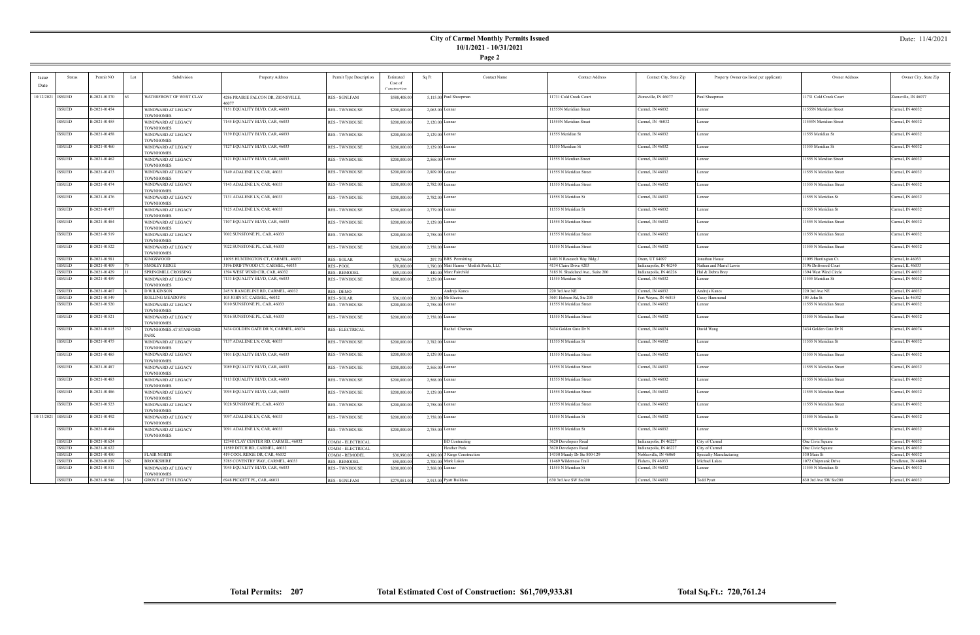|--|--|

### Date: 11/4/2021

| Issue             | Status              | Permit NO    | Lot  | Subdivision                            | Property Address                     | Permit Type Description | Estimated    | Sq Ft | Contact Name                            | <b>Contact Address</b>            | Contact City, State Zip | Property Owner (as listed per applicant) | Owner Address           | Owner City, State Zip |
|-------------------|---------------------|--------------|------|----------------------------------------|--------------------------------------|-------------------------|--------------|-------|-----------------------------------------|-----------------------------------|-------------------------|------------------------------------------|-------------------------|-----------------------|
| Date              |                     |              |      |                                        |                                      |                         | Cost of      |       |                                         |                                   |                         |                                          |                         |                       |
|                   |                     |              |      |                                        |                                      |                         | Constructio  |       |                                         |                                   |                         |                                          |                         |                       |
|                   | 10/12/2021   ISSUED | B-2021-01370 |      | WATERFRONT OF WEST CLAY                | 4286 PRAIRIE FALCON DR, ZIONSVILLE.  | <b>RES - SGNLFAM</b>    | \$588,408.00 |       | 5,115.00 Paul Shoopman                  | 11731 Cold Creek Court            | Zionsville, IN 46077    | Paul Shoopman                            | 11731 Cold Creek Court  | Zionsville. IN 46077  |
|                   |                     |              |      |                                        | 16077                                |                         |              |       |                                         |                                   |                         |                                          |                         |                       |
|                   | <b>ISSUED</b>       | B-2021-01454 |      | WINDWARD AT LEGACY                     | 7151 EQUALITY BLVD, CAR, 46033       | <b>RES - TWNHOUSE</b>   | \$200,000.0  |       | $2,063.00$ Lennar                       | 11555N Meridian Street            | Carmel, IN 46032        | Lennar                                   | 11555N Meridian Street  | Carmel, IN 46032      |
|                   |                     |              |      | <b>TOWNHOMES</b>                       |                                      |                         |              |       |                                         |                                   |                         |                                          |                         |                       |
|                   | <b>ISSUED</b>       | B-2021-01455 |      | WINDWARD AT LEGACY                     | 7145 EQUALITY BLVD, CAR, 46033       | <b>RES - TWNHOUSE</b>   | \$200,000.00 |       | $2,120.00$ Lennar                       | 11555N Meridian Street            | Carmel, IN 46032        | Lennar                                   | 11555N Meridian Street  | Carmel, IN 46032      |
|                   |                     |              |      | <b>TOWNHOMES</b>                       |                                      |                         |              |       |                                         |                                   |                         |                                          |                         |                       |
|                   | <b>ISSUED</b>       | B-2021-01458 |      | WINDWARD AT LEGACY                     | 7139 EQUALITY BLVD, CAR, 46033       | <b>RES - TWNHOUSE</b>   | \$200,000.0  |       | $2,129.00$ Lennar                       | 11555 Meridian St                 | Carmel, IN 46032        | Lennar                                   | 11555 Meridian St       | Carmel, IN 46032      |
|                   |                     |              |      | <b>TOWNHOMES</b>                       |                                      |                         |              |       |                                         |                                   |                         |                                          |                         |                       |
|                   | <b>ISSUED</b>       | B-2021-01460 |      | WINDWARD AT LEGACY<br><b>TOWNHOMES</b> | 7127 EQUALITY BLVD, CAR, 46033       | <b>RES - TWNHOUSE</b>   | \$200,000.0  |       | 2,129.00 Lennar                         | 11555 Meridian St                 | Carmel, IN 46032        | Lennar                                   | 11555 Meridian St       | Carmel, IN 46032      |
|                   | <b>ISSUED</b>       | B-2021-01462 |      | WINDWARD AT LEGACY                     | 7121 EQUALITY BLVD, CAR, 46033       | <b>RES - TWNHOUSE</b>   | \$200,000.0  |       | $2,568.00$ Lennar                       | 11555 N Merdian Street            | Carmel, IN 46032        | Lennar                                   | 11555 N Merdian Street  | Carmel, IN 46032      |
|                   |                     |              |      | <b>TOWNHOMES</b>                       |                                      |                         |              |       |                                         |                                   |                         |                                          |                         |                       |
|                   | <b>ISSUED</b>       | B-2021-01473 |      | WINDWARD AT LEGACY                     | 7149 ADALENE LN, CAR, 46033          | <b>RES - TWNHOUSE</b>   | \$200,000.00 |       | $2,809.00$ Lennar                       | 11555 N Meridian Street           | Carmel, IN 46032        | Lennar                                   | 11555 N Meridian Street | Carmel, IN 46032      |
|                   |                     |              |      | <b>TOWNHOMES</b>                       |                                      |                         |              |       |                                         |                                   |                         |                                          |                         |                       |
|                   | <b>ISSUED</b>       | B-2021-01474 |      | WINDWARD AT LEGACY                     | 7143 ADALENE LN, CAR, 46033          | <b>RES - TWNHOUSE</b>   | \$200,000.00 |       | 2,782.00 Lennar                         | 11555 N Meridian Street           | Carmel. IN 46032        | Lennar                                   | 11555 N Meridian Street | Carmel. IN 46032      |
|                   |                     |              |      | <b>TOWNHOMES</b>                       |                                      |                         |              |       |                                         |                                   |                         |                                          |                         |                       |
|                   | <b>ISSUED</b>       | B-2021-01476 |      | WINDWARD AT LEGACY                     | 7131 ADALENE LN, CAR, 46033          | <b>RES - TWNHOUSE</b>   | \$200,000.0  |       | 2,782.00 Lennar                         | 11555 N Meridian St               | Carmel, IN 46032        | Lennar                                   | 11555 N Meridian St     | Carmel, IN 46032      |
|                   |                     |              |      | <b>TOWNHOMES</b>                       |                                      |                         |              |       |                                         |                                   |                         |                                          |                         |                       |
|                   | <b>ISSUED</b>       | B-2021-01477 |      | WINDWARD AT LEGACY                     | 7125 ADALENE LN, CAR, 46033          | <b>RES - TWNHOUSE</b>   | \$200,000.0  |       | 2,779.00 Lennar                         | 11555 N Meridian St               | Carmel, IN 46032        | Lennar                                   | 11555 N Meridian St     | Carmel, IN 46032      |
|                   |                     |              |      | <b>TOWNHOMES</b>                       |                                      |                         |              |       |                                         |                                   |                         |                                          |                         |                       |
|                   | <b>ISSUED</b>       | B-2021-01484 |      | WINDWARD AT LEGACY<br><b>TOWNHOMES</b> | 7107 EOUALITY BLVD, CAR, 46033       | <b>RES - TWNHOUSE</b>   | \$200,000.00 |       | 2,129.00 Lennar                         | 11555 N Meridian Street           | Carmel, IN 46032        | Lennar                                   | 11555 N Meridian Street | Carmel, IN 46032      |
|                   | <b>ISSUED</b>       | B-2021-01519 |      | WINDWARD AT LEGACY                     | 7002 SUNSTONE PL, CAR, 46033         | <b>RES - TWNHOUSE</b>   | \$200,000.0  |       | 2,758.00 Lennar                         | 11555 N Meridian Street           | Carmel, IN 46032        | Lennar                                   | 11555 N Meridian Street | Carmel, IN 46032      |
|                   |                     |              |      | <b>TOWNHOMES</b>                       |                                      |                         |              |       |                                         |                                   |                         |                                          |                         |                       |
|                   | <b>ISSUED</b>       | B-2021-01522 |      | WINDWARD AT LEGACY                     | 7022 SUNSTONE PL, CAR, 46033         | <b>RES - TWNHOUSE</b>   | \$200,000.0  |       | 2,758.00 Lennar                         | 11555 N Meridian Street           | Carmel, IN 46032        | Lennar                                   | 1555 N Meridian Street  | Carmel, IN 46032      |
|                   |                     |              |      | <b>TOWNHOMES</b>                       |                                      |                         |              |       |                                         |                                   |                         |                                          |                         |                       |
|                   | <b>ISSUED</b>       | B-2021-01581 |      | <b>KINGSWOOD</b>                       | 11095 HUNTINGTON CT, CARMEL, 46033   | <b>RES - SOLAR</b>      | \$5,756.04   |       | 297.70 BRS Permitting                   | 1403 N Research Wav Bldg J        | Orem, UT 84097          | Jonathan House                           | 1095 Huntington Ct.     | Carmel, In 46033      |
|                   | ISSUED              | B-2021-01409 |      | <b>SMOKEY RIDGE</b>                    | 3196 DRIFTWOOD CT, CARMEL, 46033     | RES - POOL              | \$70,000.0   |       | 1,790.00 Matt Harms - Modish Pools, LLC | 4134 Claire Drive #203            | Indianapolis, IN 46240  | Nathan and Mariel Lewis                  | 196 Driftwood Court     | Carmel, IL 46033      |
|                   | <b>ISSUED</b>       | B-2021-01429 |      | SPRINGMILL CROSSING                    | 1394 WEST WIND CIR, CAR, 46032       | <b>RES - REMODEL</b>    | \$89,100.0   |       | 440.00 Marc Fairchild                   | 3185 N. Shadeland Ave., Suite 200 | Indianapolis, IN 46226  | Hal & Debra Brey                         | 1394 West Wind Circle   | Carmel, IN 46032      |
|                   | <b>ISSUED</b>       | B-2021-01459 |      | WINDWARD AT LEGACY                     | 7133 EQUALITY BLVD, CAR, 46033       | <b>RES - TWNHOUSE</b>   | \$200,000.00 |       | 2,129.00 Lennar                         | 11555 Meridian St                 | Carmel, IN 46032        | Lennar                                   | 11555 Meridian St       | Carmel, IN 46032      |
|                   |                     |              |      | <b>TOWNHOMES</b>                       |                                      |                         |              |       |                                         |                                   |                         |                                          |                         |                       |
|                   | <b>ISSUED</b>       | B-2021-01467 |      | <b>D WILKINSON</b>                     | 245 N RANGELINE RD, CARMEL, 46032    | RES - DEMO              |              |       | Andrejs Kancs                           | 220 3rd Ave NE                    | Carmel, IN 46032        | Andrejs Kancs                            | 220 3rd Ave NE          | Carmel, IN 46032      |
|                   | <b>ISSUED</b>       | B-2021-01549 |      | <b>ROLLING MEADOWS</b>                 | 105 JOHN ST, CARMEL, 46032           | <b>RES - SOLAR</b>      | \$36,100.00  |       | 200.00 Mr Electric                      | 3601 Hobson Rd, Ste 205           | Fort Wayne, IN 46815    | Casey Hammond                            | 105 John St             | Carmel, In 46032      |
|                   | <b>ISSUED</b>       | B-2021-01520 |      | WINDWARD AT LEGACY                     | 7010 SUNSTONE PL, CAR, 46033         | <b>RES - TWNHOUSE</b>   | \$200,000.00 |       | 2,758.00 Lennar                         | 11555 N Meridian Street           | Carmel, IN 46032        | Lennar                                   | 11555 N Meridian Street | Carmel, IN 46032      |
|                   | <b>ISSUED</b>       |              |      | <b>TOWNHOMES</b>                       | 7016 SUNSTONE PL. CAR. 46033         |                         |              |       |                                         | 11555 N Meridian Street           |                         |                                          | 11555 N Meridian Street |                       |
|                   |                     | B-2021-01521 |      | WINDWARD AT LEGACY<br><b>TOWNHOMES</b> |                                      | <b>RES - TWNHOUSE</b>   | \$200,000.00 |       | 2,758.00 Lennar                         |                                   | Carmel, IN 46032        | Lennar                                   |                         | Carmel, IN 46032      |
|                   | <b>ISSUED</b>       | B-2021-01615 | 232. | TOWNHOMES AT STANFORD                  | 3434 GOLDEN GATE DR N, CARMEL, 46074 | <b>RES - ELECTRICAL</b> |              |       | Rachel Charters                         | 3434 Golden Gate Dr N             | Carmel, IN 46074        | David Wang                               | 3434 Golden Gate Dr N   | Carmel, IN 46074      |
|                   |                     |              |      | PARK                                   |                                      |                         |              |       |                                         |                                   |                         |                                          |                         |                       |
|                   | <b>ISSUED</b>       | B-2021-01475 |      | WINDWARD AT LEGACY                     | 7137 ADALENE LN, CAR, 46033          | <b>RES - TWNHOUSE</b>   | \$200,000.00 |       | 2,782.00 Lennar                         | 11555 N Meridian St               | Carmel, IN 46032        | Lennar                                   | 11555 N Meridian St     | Carmel, IN 46032      |
|                   |                     |              |      | <b>TOWNHOMES</b>                       |                                      |                         |              |       |                                         |                                   |                         |                                          |                         |                       |
|                   | <b>ISSUED</b>       | B-2021-01485 |      | WINDWARD AT LEGACY                     | 7101 EQUALITY BLVD, CAR, 46033       | <b>RES - TWNHOUSE</b>   | \$200,000.0  |       | $2,129.00$ Lennar                       | 11555 N Meridian Street           | Carmel, IN 46032        | Lennar                                   | 11555 N Meridian Street | Carmel, IN 46032      |
|                   |                     |              |      | <b>TOWNHOMES</b>                       |                                      |                         |              |       |                                         |                                   |                         |                                          |                         |                       |
|                   | <b>ISSUED</b>       | B-2021-01487 |      | WINDWARD AT LEGACY                     | 7089 EQUALITY BLVD, CAR, 46033       | <b>RES - TWNHOUSE</b>   | \$200,000.00 |       | 2,568.00 Lennar                         | 11555 N Meridian Street           | Carmel, IN 46032        | Lennar                                   | 11555 N Meridian Street | Carmel, IN 46032      |
|                   |                     |              |      | <b>TOWNHOMES</b>                       |                                      |                         |              |       |                                         |                                   |                         |                                          |                         |                       |
|                   | <b>ISSUED</b>       | B-2021-01483 |      | WINDWARD AT LEGACY                     | 7113 EQUALITY BLVD, CAR, 46033       | <b>RES - TWNHOUSE</b>   | \$200,000.0  |       | 2,568.00 Lennar                         | 11555 N Meridian Street           | Carmel, IN 46032        | Lennar                                   | 11555 N Meridian Street | Carmel, IN 46032      |
|                   | <b>ISSUED</b>       | B-2021-01486 |      | <b>TOWNHOMES</b>                       | 7095 EQUALITY BLVD, CAR, 46033       |                         |              |       |                                         | 11555 N Meridian Street           | Carmel, IN 46032        | Lennar                                   | 11555 N Meridian Street | Carmel, IN 46032      |
|                   |                     |              |      | WINDWARD AT LEGACY<br><b>TOWNHOMES</b> |                                      | <b>RES - TWNHOUSE</b>   | \$200,000.00 |       | $2,129.00$ Lennar                       |                                   |                         |                                          |                         |                       |
|                   | <b>ISSUED</b>       | B-2021-01523 |      | WINDWARD AT LEGACY                     | 7028 SUNSTONE PL, CAR, 46033         | <b>RES - TWNHOUSE</b>   | \$200,000.00 |       | 2,758.00 Lennar                         | 11555 N Meridian Street           | Carmel, IN 46032        | Lennar                                   | 11555 N Meridian Street | Carmel, IN 46032      |
|                   |                     |              |      | <b>TOWNHOMES</b>                       |                                      |                         |              |       |                                         |                                   |                         |                                          |                         |                       |
| 10/13/2021 ISSUED |                     | B-2021-01492 |      | WINDWARD AT LEGACY                     | 7097 ADALENE LN, CAR, 46033          | <b>RES - TWNHOUSE</b>   | \$200,000.00 |       | 2,758.00 Lennar                         | 11555 N Meridian St               | Carmel, IN 46032        | Lennar                                   | 11555 N Meridian St     | Carmel, IN 46032      |
|                   |                     |              |      | <b>TOWNHOMES</b>                       |                                      |                         |              |       |                                         |                                   |                         |                                          |                         |                       |
|                   | <b>ISSUED</b>       | B-2021-01494 |      | WINDWARD AT LEGACY                     | 7091 ADALENE LN, CAR, 46033          | <b>RES - TWNHOUSE</b>   | \$200,000.0  |       | 2,755.00 Lennar                         | 11555 N Meridian St               | Carmel, IN 46032        | Lennar                                   | 11555 N Meridian St     | Carmel, IN 46032      |
|                   |                     |              |      | <b>TOWNHOMES</b>                       |                                      |                         |              |       |                                         |                                   |                         |                                          |                         |                       |
|                   | <b>ISSUED</b>       | B-2021-01624 |      |                                        | 12348 CLAY CENTER RD, CARMEL, 46032  | COMM - ELECTRICAL       |              |       | <b>BD</b> Contracting                   | 3620 Developers Road              | Indianapolis, IN 46227  | City of Carmel                           | One Civic Square        | Carmel, IN 46032      |
|                   | <b>ISSUED</b>       | B-2021-01622 |      |                                        | 11589 DITCH RD, CARMEL, 46032        | COMM - ELECTRICAL       |              |       | <b>Heather Peek</b>                     | 3620 Developers Road              | Indianapolis, IN 46227  | City of Carmel                           | One Civic Square        | Carmel, IN 46032      |
|                   | <b>ISSUED</b>       | B-2021-01450 |      | <b>FLAIR NORTH</b>                     | 419 COOL RIDGE DR, CAR, 46032        | COMM - REMODEL          | \$30,990.0   |       | 4,389.00 3 Kings Construction           | 14350 Mundy Dr Ste 800-129        | Noblesville, IN 46060   | <b>Specialty Manufacturing</b>           | 530 Main St             | Carmel, IN 46032      |
|                   | <b>ISSUED</b>       | B-2020-01039 |      | <b>BROOKSHIRE</b>                      | 3785 COVENTRY WAY, CARMEL, 46033     | <b>RES-REMODEL</b>      | \$50,000.00  |       | 2.700.00 Mark Lakes                     | 11469 Wilderness Trail            | Fishers, IN 46033       | Michael Lakes                            | 1072 Chinmunk Drive     | Pendleton, IN 46064   |
|                   | <b>ISSUED</b>       | B-2021-01511 |      | WINDWARD AT LEGACY<br><b>TOWNHOMES</b> | 7045 EQUALITY BLVD, CAR, 46033       | <b>RES - TWNHOUSE</b>   | \$200,000.00 |       | 2.568.00 Lennar                         | 11555 N Meridian St               | Carmel, IN 46032        | Lennar                                   | 1555 N Meridian St      | Carmel, IN 46032      |
|                   | <b>ISSUED</b>       | B-2021-01546 | 134  | <b>GROVE AT THE LEGACY</b>             | 6948 PICKETT PL, CAR, 46033          | <b>RES - SGNLFAM</b>    | \$279,881.00 |       | 2.913.00 Pyatt Builders                 | 630 3rd Ave SW Ste200             | Carmel, IN 46032        | Todd Pyatt                               | 630 3rd Ave SW Ste200   | Carmel, IN 46032      |
|                   |                     |              |      |                                        |                                      |                         |              |       |                                         |                                   |                         |                                          |                         |                       |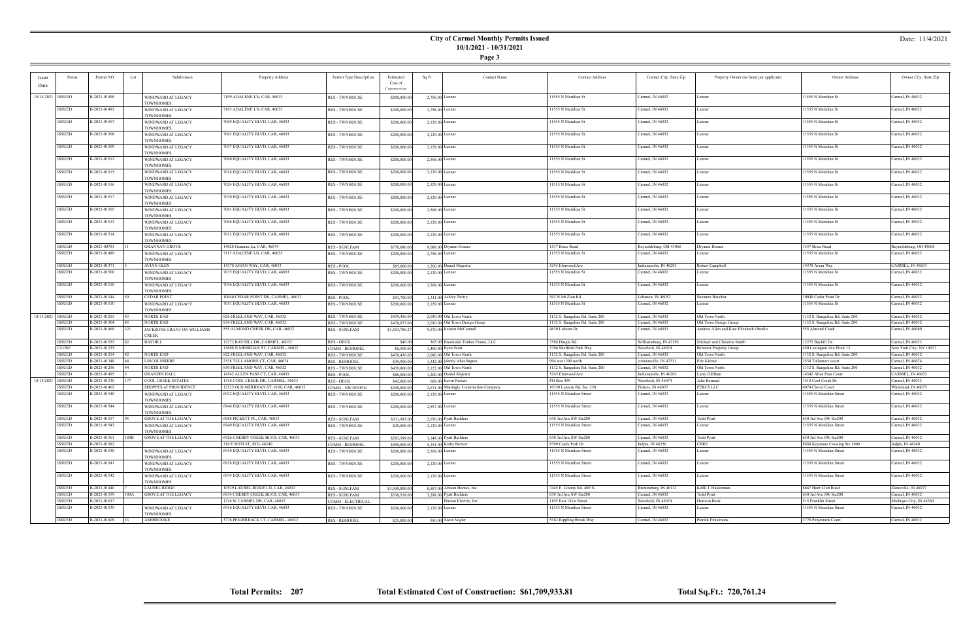**Page 3**

### Date: 11/4/2021

| Date       | <b>Status</b>           | Permit NO                    | Subdivision<br>Lot                                 | Property Address                                                             | Permit Type Description                     | Estimated<br>Cost of<br>Construction | Sq Ft<br>Contact Name                                           | <b>Contact Address</b>                   | Contact City, State Zip                 | Property Owner (as listed per applicant) | Owner Address                           | Owner City, State Zip                   |
|------------|-------------------------|------------------------------|----------------------------------------------------|------------------------------------------------------------------------------|---------------------------------------------|--------------------------------------|-----------------------------------------------------------------|------------------------------------------|-----------------------------------------|------------------------------------------|-----------------------------------------|-----------------------------------------|
|            | 10/14/2021   ISSUED     | B-2021-01490                 | WINDWARD AT LEGACY<br><b>TOWNHOMES</b>             | 7109 ADALENE LN, CAR, 46033                                                  | <b>RES - TWNHOUSE</b>                       | \$200,000.00                         | 2,758.00 Lennar                                                 | 11555 N Meridian St                      | Carmel, IN 46032                        | Lennar                                   | 11555 N Meridian St                     | Carmel, IN 46032                        |
|            | ISSUED                  | B-2021-01491                 | WINDWARD AT LEGACY<br><b>TOWNHOMES</b>             | 7103 ADALENE LN, CAR, 46033                                                  | <b>RES - TWNHOUSE</b>                       | \$200,000.00                         | 2,758.00 Lennar                                                 | 11555 N Meridian St                      | Carmel, IN 46032                        | Lennar                                   | 11555 N Meridian St                     | Carmel, IN 46032                        |
|            | ISSUED                  | B-2021-01507                 | WINDWARD AT LEGACY<br><b>TOWNHOMES</b>             | 7069 EQUALITY BLVD, CAR, 46033                                               | <b>RES - TWNHOUSE</b>                       | \$200,000.00                         | $2,129.00$ Lennar                                               | 11555 N Meridian St                      | Carmel, IN 46032                        | Lennar                                   | 11555 N Meridian St                     | Carmel, IN 46032                        |
|            | ISSUED                  | B-2021-01508                 | WINDWARD AT LEGACY<br><b>TOWNHOMES</b>             | 7063 EQUALITY BLVD, CAR, 46033                                               | <b>RES - TWNHOUSE</b>                       | \$200,000.00                         | $2,129.00$ Lennar                                               | 11555 N Meridian St                      | Carmel, IN 46032                        | Lennar                                   | 11555 N Meridian St                     | Carmel, IN 46032                        |
|            | ISSUED                  | B-2021-01509                 | WINDWARD AT LEGACY<br><b>TOWNHOMES</b>             | 7057 EQUALITY BLVD, CAR, 46033                                               | <b>RES - TWNHOUSE</b>                       | \$200,000.00                         | 2,129.00 Lennar                                                 | 11555 N Meridian St                      | Carmel, IN 46032                        | Lennar                                   | 11555 N Meridian St                     | Carmel, IN 46032                        |
|            | ISSUED                  | B-2021-01512                 | WINDWARD AT LEGACY<br><b>TOWNHOMES</b>             | 7000 EQUALITY BLVD, CAR, 46033                                               | <b>RES - TWNHOUSE</b>                       | \$200,000.00                         | $2,568.00$ Lennar                                               | 11555 N Meridian St                      | Carmel, IN 46032                        | Lennar                                   | 11555 N Meridian St                     | Carmel, IN 46032                        |
|            | ISSUED                  | B-2021-01515                 | WINDWARD AT LEGACY<br><b>TOWNHOMES</b>             | 7018 EQUALITY BLVD, CAR, 46033                                               | <b>RES - TWNHOUSE</b>                       | \$200,000.00                         | $2,129.00$ Lennar                                               | 11555 N Meridian St                      | Carmel, IN 46032                        | Lennar                                   | 11555 N Meridian St                     | Carmel, IN 46032                        |
|            | ISSUED                  | B-2021-01516                 | WINDWARD AT LEGACY<br><b>TOWNHOMES</b>             | 7024 EQUALITY BLVD, CAR, 46033                                               | <b>RES - TWNHOUSE</b>                       | \$200,000.00                         | $2,129.00$ Lennar                                               | 11555 N Meridian St                      | Carmel, IN 46032                        | Lennar                                   | 11555 N Meridian St                     | Carmel, IN 46032                        |
|            | <b>ISSUED</b>           | B-2021-01517                 | WINDWARD AT LEGACY<br><b>TOWNHOMES</b>             | 7030 EQUALITY BLVD, CAR, 46033                                               | <b>RES - TWNHOUSE</b>                       | \$200,000.00                         | $2,129.00$ Lennar                                               | 11555 N Meridian St                      | Carmel, IN 46032                        | Lennar                                   | 11555 N Meridian St                     | Carmel, IN 46032                        |
|            | ISSUED                  | B-2021-01505                 | WINDWARD AT LEGACY<br><b>TOWNHOMES</b>             | 7081 EQUALITY BLVD, CAR, 46033                                               | <b>RES - TWNHOUSE</b>                       | \$200,000.00                         | 2,568.00 Lennar                                                 | 11555 N Meridian St                      | Carmel, IN 46032                        | Lennar                                   | 11555 N Meridian St                     | Carmel, IN 46032                        |
|            | ISSUED                  | B-2021-01513                 | WINDWARD AT LEGACY<br><b>TOWNHOMES</b>             | 7006 EQUALITY BLVD, CAR, 46033                                               | <b>RES - TWNHOUSE</b>                       | \$200,000.00                         | $2,129.00$ Lennar                                               | 11555 N Meridian St                      | Carmel, IN 46032                        | Lennar                                   | 11555 N Meridian St                     | Carmel, IN 46032                        |
|            | ISSUED                  | B-2021-01514                 | WINDWARD AT LEGACY<br><b>TOWNHOMES</b>             | 7012 EQUALITY BLVD, CAR, 46033                                               | <b>RES - TWNHOUSE</b>                       | \$200,000.00                         | $2,129.00$ Lennar                                               | 11555 N Meridian St                      | Carmel, IN 46032                        | Lennar                                   | 11555 N Meridian St                     | Carmel, IN 46032                        |
|            | ISSUED                  | B-2021-00783                 | <b>GRANNAN GROVE</b>                               | 14028 Grannan Ln, CAR, 46074                                                 | RES - SGNLFAM                               | \$770,080.00                         | 9,088.00 Diyanni Homes                                          | 1537 Brice Road                          | Reynoldsburg, OH 43068                  | Diyanni Homes                            | 1537 Brice Road                         | Reynoldsburg, OH 43068                  |
|            | ISSUED                  | B-2021-01489                 | WINDWARD AT LEGACY<br><b>TOWNHOMES</b>             | 7115 ADALENE LN, CAR, 46033                                                  | <b>RES - TWNHOUSE</b>                       | \$200,000.00                         | 2,758.00 Lennar                                                 | 11555 N Meridian St                      | Carmel, IN 46032                        | Lennar                                   | 11555 N Meridian St                     | Carmel, IN 46032                        |
|            | <b>ISSUED</b>           | B-2021-01371                 | AVIAN GLEN                                         | 14378 AVIAN WAY, CAR, 46033                                                  | RES - POOL                                  | \$85,000.00                          | 1,200.00 Daniel Majestic                                        | 5245 Elmwood Ave                         | ndianapolis, IN 46203                   | Robert Campbell                          | 14378 Avian Way                         | CARMEL, IN 46033                        |
|            | ISSUED                  | B-2021-01506                 | WINDWARD AT LEGACY<br><b>TOWNHOMES</b>             | 7075 EQUALITY BLVD, CAR, 46033                                               | <b>RES - TWNHOUSE</b>                       | \$200,000.00                         | 2,129.00 Lennar                                                 | 11555 N Meridian St                      | Carmel, IN 46032                        | Lennar                                   | 11555 N Meridian St                     | Carmel, IN 46032                        |
|            | ISSUED                  | B-2021-01518                 | WINDWARD AT LEGACY<br><b>TOWNHOMES</b>             | 7036 EQUALITY BLVD, CAR, 46033                                               | <b>RES - TWNHOUSE</b>                       | \$200,000.00                         | $2,568.00$ Lennar                                               | 11555 N Meridian St                      | Carmel, IN 46032                        | Lennar                                   | 11555 N Meridian St                     | Carmel, IN 46032                        |
|            | ISSUED                  | B-2021-01344                 | <b>CEDAR POINT</b>                                 | 10040 CEDAR POINT DR, CARMEL, 46032                                          | RES - POOL                                  | \$91,700.00                          | 1,311.00 Ashley Twitty                                          | 392 N Mt Zion Rd                         | Lebanon, IN 46052                       | Suzanne Boucher                          | 10040 Cedar Point Dr                    | Carmel, IN 46032                        |
|            | ISSUED                  | B-2021-01510                 | WINDWARD AT LEGACY<br><b>TOWNHOMES</b>             | 7051 EQUALITY BLVD, CAR, 46033                                               | <b>RES - TWNHOUSE</b>                       | \$200,000.00                         | $2,129.00$ Lennar                                               | 11555 N Meridian St                      | Carmel, IN 46032                        | Lennar                                   | 11555 N Meridian St                     | Carmel, IN 46032                        |
|            | 10/15/2021 ISSUED       | B-2021-01255                 | <b>NORTH END</b>                                   | 826 FREELAND WAY, CAR, 46032                                                 | <b>RES - TWNHOUSE</b>                       | \$439,456.00                         | 2,030,00 Old Town North                                         | 1132 S. Rangeline Rd. Suite 200          | Carmel, IN 46032                        | Old Town North                           | 1132 S. Rangeline Rd. Suite 200         | Carmel, IN 46032                        |
|            | ISSUED                  | B-2021-01304                 | <b>NORTH END</b>                                   | 834 FREELAND WAY, CAR, 46032                                                 | <b>RES - TWNHOUSE</b>                       | \$478,977.00                         | 2,030.00 Old Town Design Group                                  | 1132 S. Rangeline Rd. Suite 200          | Carmel, IN 46032                        | Old Town Design Group                    | 1132 S. Rangeline Rd. Suite 200         | Carmel, IN 46032                        |
|            | ISSUED                  | B-2021-01468                 | JACKSONS GRANT ON WILLIAMS<br><b>CREEK</b>         | 555 ALMOND CREEK DR, CAR, 46032                                              | RES - SGNLFAM                               | \$1,503,786.27                       | 9,570.00 Kristen McConnell                                      | 4630 Lisborn Dr                          | Carmel, IN 46033                        | Andrew Allen and Kate Elizabeth Oberlin  | 555 Almond Creek                        | Carmel, IN 46060                        |
|            | <b>ISSUED</b>           | B-2021-01555                 | <b>BAYHILL</b>                                     | 12272 BAYHILL DR, CARMEL, 46033                                              | <b>RES - DECK</b>                           | \$40.00                              | 365.00 Brookside Timber Frame, LLC                              | 7588 Dingle Rd.                          | Williamsburg, IN 47393                  | Michael and Christina Smith              | 12272 Bayhill Dr.                       | Carmel, IN 46033                        |
|            | CLOSE                   | B-2021-01235                 |                                                    | 13698 N MERIDIAN ST, CARMEL, 46032                                           | COMM - REMODEL                              | \$6,500.00                           | 1,400.00 Ryan Scott                                             | 3706 Sheffield Park Way                  | Westfield, IN 46074                     | <b>Brixmor Property Group</b>            | 450 Lexington Ave Floor 13              | New York City, NY 10017                 |
|            | <b>ISSUED</b>           | B-2021-01254                 | NORTH END                                          | 822 FREELAND WAY, CAR, 46032                                                 | <b>RES - TWNHOUSE</b>                       | \$478,430.00                         | 2,090.00 Old Town North                                         | 1132 S. Rangeline Rd. Suite 200          | Carmel, IN 46032                        | Old Town North                           | 1132 S. Rangeline Rd. Suite 200         | Carmel, IN 46032                        |
|            | <b>ISSUED</b>           | B-2021-01348                 | <b>LINCOLNSHIRE</b>                                | 2538 TULLAMORE CT, CAR, 46074                                                | <b>RES - REMODEL</b>                        | \$39,900.00                          | 1,342.00 johnny wheelington                                     | 994 west 200 north                       | onnersville, IN 47331                   | Eric Kittner                             | 2538 Tullamore court                    | Carmel, IN 46074                        |
|            | <b>ISSUED</b>           | B-2021-01256                 | NORTH END                                          | 830 FREELAND WAY, CAR, 46032                                                 | <b>RES - TWNHOUSE</b>                       | \$439,000.00                         | 2,122.00 Old Town North                                         | 1132 S. Rangeline Rd. Suite 200          | Carmel, IN 46032                        | Old Town North                           | 1132 S. Rangeline Rd. Suite 200         | Carmel, IN 46032                        |
|            | <b>ISSUED</b>           | B-2021-01495                 | <b>GRANDIN HALL</b>                                | 14542 ALLEN PASS CT, CAR, 46033                                              | RES - POOL                                  | \$80,000.00                          | 1,200.00 Daniel Majestic                                        | 5245 Elmwood Ave                         | Indianapolis, IN 46203                  | Larry Gillihan                           | 14542 Allen Pass Court                  | CARMEL, IN 46033                        |
| 10/18/2021 | <b>ISSUED</b><br>ISSUED | B-2021-01330<br>B-2021-01402 | <b>COOL CREEK ESTATES</b><br>SHOPPES AT PROVIDENCE | 1418 COOL CREEK DR, CARMEL, 46033<br>12525 OLD MERIDIAN ST, #100, CAR, 46032 | <b>RES - DECK</b><br><b>COMM - NWTENFIN</b> | \$42,000.00<br>\$200,000.00          | 668.00 Kevin Pickett<br>2,671.00 Mattingly Construction Company | PO Box 499<br>10150 Lantern Rd, Ste. 250 | Westfield, IN 46074<br>ishers, IN 46037 | Julie Bernard<br><b>PERCS LLC</b>        | 1418 Cool Creek Dr<br>6074 Clover Court | Carmel, IN 46033<br>Whiteland, IN 46075 |
|            | ISSUED                  | B-2021-01540                 | WINDWARD AT LEGACY<br><b>TOWNHOMES</b>             | 6922 EQUALITY BLVD, CAR, 46033                                               | <b>RES - TWNHOUSE</b>                       | \$200,000.00                         | $2,129.00$ Lennar                                               | 11555 N Meridian Street                  | Carmel, IN 46032                        | Lennar                                   | 11555 N Meridian Street                 | Carmel, IN 46032                        |
|            | <b>ISSUED</b>           | B-2021-01544                 | WINDWARD AT LEGACY<br><b>TOWNHOMES</b>             | 6946 EQUALITY BLVD, CAR, 46033                                               | <b>RES - TWNHOUSE</b>                       | \$200,000.00                         | 2,557.00 Lennar                                                 | 11555 N Meridian Street                  | Carmel, IN 46032                        | Lennar                                   | 11555 N Meridian Street                 | Carmel, IN 46032                        |
|            | <b>ISSUED</b>           | B-2021-01557                 | <b>GROVE AT THE LEGACY</b>                         | 6988 PICKETT PL, CAR, 46033                                                  | <b>RES - SGNLFAM</b>                        | \$311,993.00                         | 2,676,00 Pyatt Builders                                         | 630 3rd Ave SW Ste200                    | Carmel, IN 46032                        | Todd Pyatt                               | 630 3rd Ave SW Ste200                   | Carmel, IN 46032                        |
|            | <b>ISSUED</b>           | $ B-2021-01543\rangle$       | WINDWARD AT LEGACY<br><b>TOWNHOMES</b>             | 6940 EQUALITY BLVD, CAR, 46033                                               | <b>RES - TWNHOUSE</b>                       | \$20,000.00                          | $2,129.00$ Lennar                                               | 11555 N Meridian Street                  | Carmel, IN 46032                        | Lennar                                   | 11555 N Meridian Street                 | Carmel, IN 46032                        |
|            | <b>ISSUED</b>           | B-2021-01561                 | <b>GROVE AT THE LEGACY</b><br>180B                 | 6926 CHERRY CREEK BLVD, CAR, 46033                                           | RES - SGNLFAM                               | \$283,399.00                         | 3.148.00 Pvatt Builders                                         | 630 3rd Ave SW Ste200                    | Carmel, IN 46032                        | <b>Todd Pyatt</b>                        | 630 3rd Ave SW Ste200                   | Carmel, IN 46032                        |
|            | <b>ISSUED</b>           | B-2021-01582                 |                                                    | 310 E 96TH ST, IND, 46240                                                    | COMM - REMODEL                              | \$450,000.00                         | $5,151.00$ Kathy Brewer                                         | 8709 Castle Park Dr                      | Indpls, IN 46256                        | CBRE                                     | 8888 Keystone Crossing Ste 1000         | Indpls, IN 46240                        |
|            | <b>ISSUED</b>           | B-2021-01538                 | WINDWARD AT LEGACY<br><b>TOWNHOMES</b>             | 6910 EQUALITY BLVD, CAR, 46033                                               | <b>RES - TWNHOUSE</b>                       | \$200,000.00                         | $2,568.00$ Lennar                                               | 11555 N Meridian Street                  | Carmel, IN 46032                        | Lennar                                   | 11555 N Meridian Street                 | Carmel, IN 46032                        |
|            | ISSUED                  | B-2021-01541                 | WINDWARD AT LEGACY<br><b>TOWNHOMES</b>             | 6928 EQUALITY BLVD, CAR, 46033                                               | <b>RES - TWNHOUSE</b>                       | \$200,000.00                         | $2,129.00$ Lennar                                               | 11555 N Meridian Street                  | Carmel, IN 46032                        | Lennar                                   | 11555 N Meridian Street                 | Carmel, IN 46032                        |
|            | <b>ISSUED</b>           | B-2021-01542                 | WINDWARD AT LEGACY<br><b>TOWNHOMES</b>             | 6934 EQUALITY BLVD, CAR, 46033                                               | <b>RES - TWNHOUSE</b>                       | \$200,000.00                         | 2,129.00 Lennar                                                 | 11555 N Meridian Street                  | Carmel, IN 46032                        | Lennar                                   | 11555 N Meridian Street                 | Carmel, IN 46032                        |
|            | <b>ISSUED</b>           | B-2021-01440                 | <b>LAUREL RIDGE</b>                                | 10529 LAUREL RIDGE LN, CAR, 46032                                            | <b>RES - SGNLFAM</b>                        | \$3,500,000.00                       | 8,887.00 Artisan Homes, Inc.                                    | 7445 E. County Rd. 400 N.                | Brownsburg, IN 46112                    | Kellli J. Halderman                      | 8667 Hunt Club Road                     | Zionsville, IN 46077                    |
|            | <b>ISSUED</b>           | B-2021-01559                 | <b>GROVE AT THE LEGACY</b><br>180A                 | 6934 CHERRY CREEK BLVD, CAR, 46033                                           | RES - SGNLFAM                               | \$330,518.00                         | 3,298.00 Pyatt Builders                                         | 630 3rd Ave SW Ste200                    | Carmel, IN 46032                        | Todd Pyatt                               | 630 3rd Ave SW Ste200                   | Carmel, IN 46032                        |
|            | <b>ISSUED</b>           | B-2021-01637                 |                                                    | 1216 W CARMEL DR, CAR, 46032                                                 | COMM - ELECTRICAL                           |                                      | Huston Electric, Inc.                                           | 1105 East 181st Street                   | Westfield, IN 46074                     | Horizon Bank                             | 515 Franklin Street                     | Michigan City, IN 46360                 |
|            | ISSUED                  | B-2021-01539                 | WINDWARD AT LEGACY<br><b>TOWNHOMES</b>             | 6916 EQUALITY BLVD, CAR, 46033                                               | <b>RES - TWNHOUSE</b>                       | \$200,000.00                         | $2,129.00$ Lennar                                               | 11555 N Meridian Street                  | Carmel, IN 46032                        | Lennar                                   | 11555 N Meridian Street                 | Carmel, IN 46032                        |
|            | <b>ISSUED</b>           | B-2021-01609                 | <b>ASHBROOKE</b>                                   | 3776 PENJERRACK CT, CARMEL, 46032                                            | <b>RES - REMODEL</b>                        | \$25,000.00                          | 950.00 Justin Vogler                                            | 5382 Rippling Brook Way                  | Carmel, IN 46033                        | Patrick Fitzsimons                       | 3776 Penjerrack Court                   | Carmel, IN 46032                        |

÷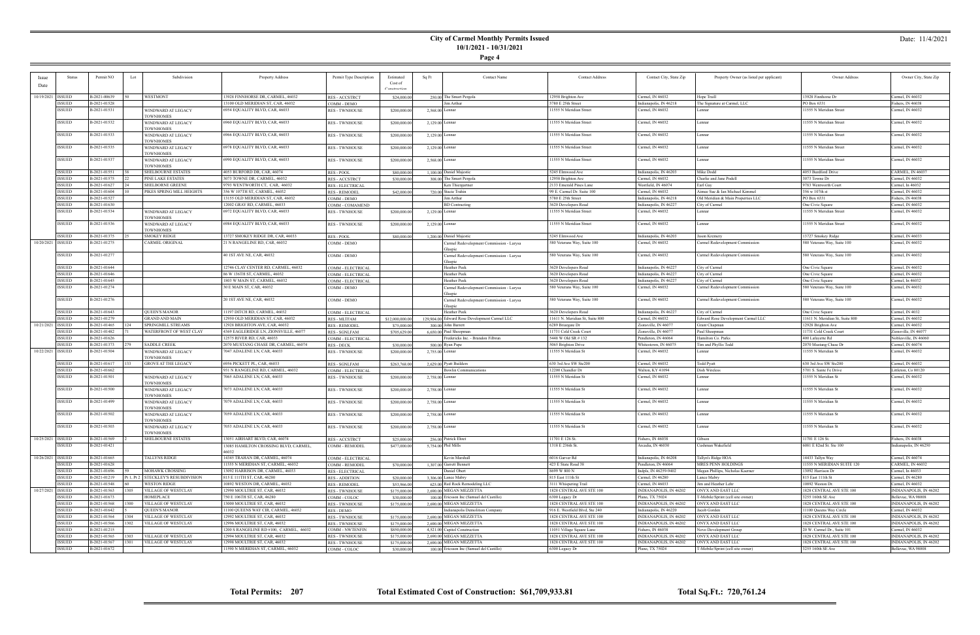**Page 4**

|                     | Status                  | Permit NO                    | Lot  | Subdivision                         | Property Address                                                    | Permit Type Description             | Estimated                   | <b>Contact Name</b><br>Sq Ft                                         | <b>Contact Address</b>                     | Contact City, State Zip                   | Property Owner (as listed per applicant)               | Owner Address                                 | Owner City, State Zip                        |
|---------------------|-------------------------|------------------------------|------|-------------------------------------|---------------------------------------------------------------------|-------------------------------------|-----------------------------|----------------------------------------------------------------------|--------------------------------------------|-------------------------------------------|--------------------------------------------------------|-----------------------------------------------|----------------------------------------------|
|                     |                         |                              |      |                                     |                                                                     |                                     | Cost of                     |                                                                      |                                            |                                           |                                                        |                                               |                                              |
| Date                |                         |                              |      |                                     |                                                                     |                                     | Construction                |                                                                      |                                            |                                           |                                                        |                                               |                                              |
|                     |                         |                              |      |                                     |                                                                     |                                     |                             |                                                                      |                                            |                                           |                                                        |                                               |                                              |
|                     | 10/19/2021   ISSUED     | B-2021-00639                 |      | WESTMONT                            | 13928 FINNHORSE DR, CARMEL, 46032                                   | <b>RES-ACCSTRCT</b>                 | \$24,000.00                 | 250.00 The Smart Pergola                                             | 12958 Brighton Ave                         | Carmel, IN 46032                          | Hope Traill                                            | 13928 Finnhorse Dr                            | Carmel, IN 46032                             |
|                     | ISSUED                  | B-2021-01528                 |      |                                     | 13100 OLD MERIDIAN ST, CAR, 46032                                   | COMM - DEMO                         |                             | Jim Arthur                                                           | 5780 E 25th Street                         | Indianapolis, IN 46218                    | The Signature at Carmel, LLC                           | PO Box 6331                                   | Fishers, IN 46038                            |
|                     | ISSUED                  | B-2021-01531                 |      | WINDWARD AT LEGACY                  | 6954 EQUALITY BLVD, CAR, 46033                                      | <b>RES - TWNHOUSE</b>               | \$200,000.00                | $2,568.00$ Lennar                                                    | 11555 N Meridian Street                    | Carmel, IN 46032                          | Lennar                                                 | 11555 N Meridian Street                       | Carmel, IN 46032                             |
|                     |                         |                              |      | <b>TOWNHOMES</b>                    |                                                                     |                                     |                             |                                                                      |                                            |                                           |                                                        |                                               |                                              |
|                     | ISSUED                  | B-2021-01532                 |      | WINDWARD AT LEGACY                  | 6960 EQUALITY BLVD, CAR, 46033                                      | <b>RES-TWNHOUSE</b>                 | \$200,000.00                | $2,129.00$ Lennar                                                    | 11555 N Meridian Street                    | Carmel, IN 46032                          | Lennar                                                 | 11555 N Meridian Street                       | Carmel, IN 46032                             |
|                     |                         |                              |      | <b>TOWNHOMES</b>                    |                                                                     |                                     |                             |                                                                      |                                            |                                           |                                                        |                                               |                                              |
|                     | ISSUED                  | B-2021-01533                 |      | WINDWARD AT LEGACY                  | 6966 EQUALITY BLVD, CAR, 46033                                      | <b>RES - TWNHOUSE</b>               | \$200,000.00                | 2,129.00 Lennar                                                      | 11555 N Meridian Street                    | Carmel, IN 46032                          | Lennar                                                 | 11555 N Meridian Street                       | Carmel, IN 46032                             |
|                     |                         |                              |      | <b>TOWNHOMES</b>                    |                                                                     |                                     |                             |                                                                      |                                            |                                           |                                                        |                                               |                                              |
|                     | ISSUED                  | B-2021-01535                 |      | WINDWARD AT LEGACY                  | 6978 EQUALITY BLVD, CAR, 46033                                      | <b>RES - TWNHOUSE</b>               | \$200,000.00                | $2,129.00$ Lennar                                                    | 11555 N Meridian Street                    | Carmel, IN 46032                          | Lennar                                                 | 11555 N Meridian Street                       | Carmel, IN 46032                             |
|                     |                         |                              |      | <b>TOWNHOMES</b>                    |                                                                     |                                     |                             |                                                                      |                                            |                                           |                                                        |                                               |                                              |
|                     | ISSUED                  | B-2021-01537                 |      | WINDWARD AT LEGACY                  | 6990 EQUALITY BLVD, CAR, 46033                                      | <b>RES - TWNHOUSE</b>               | \$200,000.00                | $2,568.00$ Lennar                                                    | 11555 N Meridian Street                    | Carmel, IN 46032                          | Lennar                                                 | 11555 N Meridian Street                       | Carmel, IN 46032                             |
|                     |                         |                              |      | <b>OWNHOMES</b>                     |                                                                     |                                     |                             |                                                                      |                                            |                                           |                                                        |                                               |                                              |
|                     | ISSUED                  | B-2021-01551                 |      | <b>SHELBOURNE ESTATES</b>           | 4053 BURFORD DR, CAR, 46074                                         | RES - POOL                          | \$80,000.00                 | 1,100.00 Daniel Majestic                                             | 5245 Elmwood Ave                           | Indianapolis, IN 46203                    | Mike Dodd                                              | 4053 Burdford Drive                           | CARMEL, IN 46037                             |
|                     | <b>ISSUED</b>           | B-2021-01575                 |      | PINE LAKE ESTATES                   | 3073 TOWNE DR, CARMEL, 46032                                        | RES - ACCSTRCT                      | \$30,000.00                 | 308.00 The Smart Pergola                                             | 12958 Brighton Ave                         | Carmel, IN 46032                          | Charlie and Jane Podell                                | 3073 Towne Dr                                 | Carmel, IN 46032                             |
|                     | <b>ISSUED</b>           | B-2021-01627                 |      | <b>SHELBORNE GREENE</b>             | 9793 WENTWORTH CT, CAR, 46032                                       | <b>RES - ELECTRICAL</b>             |                             | Ken Thiergartner                                                     | 2133 Emerald Pines Lane                    | Westfield, IN 46074                       | Earl Gay                                               | 9783 Wentworth Court                          | Carmel, In 46032                             |
|                     | <b>ISSUED</b>           | B-2021-01604                 |      | PIKES SPRING MILL HEIGHTS           | 356 W 107TH ST, CARMEL, 46032                                       | <b>RES - REMODEL</b>                | \$42,000.00                 | 720.00 Stacie Trahin                                                 | 99 E. Carmel Dr. Suite 100                 | Carmel, IN 46032                          | Aimee Sue & Ian Michael Kimmel                         | 356 w 107th st                                | Carmel, IN 46032                             |
|                     | <b>ISSUED</b>           | B-2021-01527                 |      |                                     | 13155 OLD MERIDIAN ST, CAR, 46032                                   | COMM - DEMO                         |                             | Jim Arthur                                                           | 5780 E 25th Street                         | ndianapolis, IN 46218                     | Old Meridian & Main Properties LLC                     | PO Box 6331                                   | Fishers, IN 46038                            |
|                     | <b>ISSUED</b>           | B-2021-01630                 |      |                                     | 12002 GRAY RD, CARMEL, 46033                                        | COMM - COMAMEND                     |                             | <b>BD</b> Contracting                                                | 3620 Developers Road                       | Indianapolis, IN 46227                    | City of Carmel                                         | One Civic Square                              | Carmel, IN 46032                             |
|                     | <b>ISSUED</b>           | B-2021-01534                 |      | WINDWARD AT LEGACY                  | 6972 EQUALITY BLVD, CAR, 46033                                      | <b>RES - TWNHOUSE</b>               | \$200,000.00                | $2,129.00$ Lennar                                                    | 11555 N Meridian Street                    | Carmel, IN 46032                          | Lennar                                                 | 11555 N Meridian Street                       | Carmel, IN 46032                             |
|                     |                         |                              |      | <b>TOWNHOMES</b>                    |                                                                     |                                     |                             |                                                                      |                                            |                                           |                                                        |                                               |                                              |
|                     | ISSUED                  | B-2021-01536                 |      | WINDWARD AT LEGACY                  | 6984 EQUALITY BLVD, CAR, 46033                                      | <b>RES - TWNHOUSE</b>               | \$200,000.00                | 2,129.00 Lennar                                                      | 11555 N Meridian Street                    | Carmel, IN 46032                          | Lennar                                                 | 11555 N Meridian Street                       | Carmel, IN 46032                             |
|                     |                         |                              |      | <b>TOWNHOMES</b>                    |                                                                     |                                     |                             |                                                                      |                                            |                                           |                                                        |                                               |                                              |
|                     | ISSUED                  | B-2021-01375                 |      | <b>SMOKEY RIDGE</b>                 | 13727 SMOKEY RIDGE DR, CAR, 46033                                   | <b>RES-POOL</b>                     | \$80,000.00                 | 1,200.00 Daniel Majestic                                             | 5245 Elmwood Ave                           | Indianapolis, IN 46203                    | Jason Kremery                                          | 13727 Smokey Ridge                            | Carmel, IN 46033                             |
| 10/20/2021 ISSUED   |                         | B-2021-01275                 |      | CARMEL ORIGINAL                     | 21 N RANGELINE RD, CAR, 46032                                       | COMM - DEMO                         |                             |                                                                      | 580 Veterans Way, Suite 100                | Carmel, IN 46032                          | Carmel Redevelopment Commission                        | 580 Veterans Way, Suite 100                   | Carmel, IN 46032                             |
|                     |                         |                              |      |                                     |                                                                     |                                     |                             | Carmel Redevelopment Commission - Larysa<br>Glaspie                  |                                            |                                           |                                                        |                                               |                                              |
|                     | ISSUED                  | B-2021-01277                 |      |                                     | 40 1ST AVE NE, CAR, 46032                                           | COMM - DEMO                         |                             | Carmel Redevelopment Commission - Larysa                             | 580 Veterans Way, Suite 100                | Carmel, IN 46032                          | Carmel Redevelopment Commission                        | 580 Veterans Way, Suite 100                   | Carmel, IN 46032                             |
|                     |                         |                              |      |                                     |                                                                     |                                     |                             | ilaspio                                                              |                                            |                                           |                                                        |                                               |                                              |
|                     | ISSUED                  | B-2021-01644                 |      |                                     | 12746 CLAY CENTER RD, CARMEL, 46032                                 | COMM - ELECTRICAL                   |                             | Heather Peek                                                         | 3620 Developers Road                       | Indianapolis, IN 46227                    | City of Carmel                                         | One Civic Square                              | Carmel, IN 46032                             |
|                     | ISSUED                  | B-2021-01646                 |      |                                     | 86 W 136TH ST, CARMEL, 46032                                        | COMM - ELECTRICAL                   |                             | Heather Peek                                                         | 3620 Developers Road                       | Indianapolis, IN 46227                    | City of Carmel                                         | One Civic Square                              | Carmel, IN 46032                             |
|                     | <b>ISSUED</b>           | B-2021-01645                 |      |                                     | 1803 W MAIN ST, CARMEL, 46032                                       | COMM - ELECTRICAL                   |                             | Heather Peek                                                         | 3620 Developers Road                       | ndianapolis, IN 46227                     | City of Carmel                                         | One Civic Square                              | Carmel, In 46032                             |
|                     | ISSUED                  | B-2021-01274                 |      |                                     | 30 E MAIN ST, CAR, 46032                                            |                                     |                             |                                                                      | 580 Veterans Way, Suite 100                | Carmel, IN 46032                          |                                                        | 580 Veterans Way, Suite 100                   | Carmel, IN 46032                             |
|                     |                         |                              |      |                                     |                                                                     | COMM - DEMO                         |                             | Carmel Redevelopment Commission - Larysa<br>Glaspie                  |                                            |                                           | Carmel Redevelopment Commission                        |                                               |                                              |
|                     | ISSUED                  | B-2021-01276                 |      |                                     | 20 1ST AVE NE, CAR, 46032                                           | COMM - DEMO                         |                             |                                                                      | 580 Veterans Way, Suite 100                | Carmel, IN 46032                          | Carmel Redevelopment Commission                        | 580 Veterans Way, Suite 100                   | Carmel, IN 46032                             |
|                     |                         |                              |      |                                     |                                                                     |                                     |                             | Carmel Redevelopment Commission - Larysa<br>Glaspie                  |                                            |                                           |                                                        |                                               |                                              |
|                     |                         |                              |      |                                     |                                                                     |                                     |                             |                                                                      |                                            |                                           |                                                        |                                               |                                              |
|                     |                         |                              |      |                                     |                                                                     |                                     |                             |                                                                      |                                            |                                           |                                                        |                                               |                                              |
|                     | ISSUED                  | B-2021-01643                 |      | <b>QUEEN'S MANOR</b>                | 11197 DITCH RD, CARMEL, 46032                                       | COMM - ELECTRICAL                   |                             | Heather Peek                                                         | 3620 Developers Road                       | Indianapolis, IN 46227                    | City of Carmel                                         | One Civic Square                              | Carmel, IN 4032                              |
|                     | <b>ISSUED</b>           | B-2021-01279                 |      | <b>GRAND AND MAIN</b>               | 12950 OLD MERIDIAN ST, CAR, 46032                                   | <b>RES-MLTFAM</b>                   | \$12,000,000.00             | 129,904.00 Edward Rose Development Carmel LLC                        | 11611 N. Meridian St, Suite 800            | Carmel, IN 46032                          | Edward Rose Development Carmel LLC                     | 11611 N. Meridian St, Suite 800               | Carmel, IN 46032                             |
| 10/21/2021   ISSUED |                         | B-2021-01465                 |      | SPRINGMILL STREAMS                  | 12928 BRIGHTON AVE, CAR, 46032                                      | <b>RES - REMODEI</b>                | \$75,000.00                 | 300.00 John Barrett                                                  | 6289 Briargate Dr                          | Zionsville, IN 46077                      | Grant Chapman                                          | 12928 Brighton Ave                            | Carmel, IN 46032                             |
|                     | ISSUED                  | B-2021-01482                 |      | WATERFRONT OF WEST CLAY             | 4369 EAGLERIDGE LN, ZIONSVILLE, 46077                               | <b>RES - SGNLFAM</b>                | \$705,629.00                | 6,650.00 Paul Shoopman                                               | 11731 Cold Creek Court                     | Zionsville, IN 46077                      | Paul Shoopman                                          | 11731 Cold Creek Court                        | Zionsville, IN 46077                         |
|                     | ISSUED                  | B-2021-01626                 |      |                                     | 12575 RIVER RD, CAR, 46033                                          | COMM - ELECTRICAL                   |                             | Fredericks Inc. - Brandon Filbrun                                    | 5448 W Old SR # 132                        | Pendleton, IN 46064                       | Hamilton Co. Parks                                     | 400 Lafayette Rd                              | Noblesville, IN 46060                        |
|                     | <b>ISSUED</b>           | B-2021-01373                 |      | <b>SADDLE CREEK</b>                 | 2070 MUSTANG CHASE DR, CARMEL, 46074                                | <b>RES - DECK</b>                   | \$30,000.00                 | 500.00 Ryan Pape                                                     | 5065 Brighton Drive                        | Whitestown, IN 46075                      | Tim and Phyllis Todd                                   | 2070 Mustang Chase Dr                         | Carmel, IN 46074                             |
| 10/22/2021 ISSUED   |                         | B-2021-01504                 |      | WINDWARD AT LEGACY                  | 7047 ADALENE LN, CAR, 46033                                         | <b>RES - TWNHOUSE</b>               | \$200,000.00                | 2,755.00 Lennar                                                      | 11555 N Meridian St                        | Carmel, IN 46032                          | Lennar                                                 | 11555 N Meridian St                           | Carmel, IN 46032                             |
|                     |                         |                              |      | <b>TOWNHOMES</b>                    |                                                                     |                                     |                             |                                                                      |                                            |                                           |                                                        |                                               |                                              |
|                     | ISSUED                  | B-2021-01617                 | 133  | <b>GROVE AT THE LEGACY</b>          | 6956 PICKETT PL, CAR, 46033                                         | RES - SGNLFAM                       | \$263,768.00                | 2,629.00 Pyatt Builders                                              | 630 3rd Ave SW Ste200                      | Carmel, IN 46032                          | Todd Pyatt                                             | 630 3rd Ave SW Ste200                         | Carmel, IN 46032                             |
|                     | ISSUED                  | B-2021-01662                 |      |                                     | 931 N RANGELINE RD, CARMEL, 46032                                   | COMM - ELECTRICAL                   |                             | <b>Bowlin Communications</b>                                         | 12200 Chandler Dr                          | Walton, KY 41094                          | Dish Wireless                                          | 5701 S. Sante Fe Drive                        | ittleton, Co 80120                           |
|                     | <b>ISSUED</b>           | B-2021-01501                 |      | WINDWARD AT LEGACY                  | 7065 ADALENE LN, CAR, 46033                                         | <b>RES - TWNHOUSE</b>               | \$200,000.00                | 2,758.00 Lennar                                                      | 11555 N Meridian St                        | Carmel, IN 46032                          | Lennar                                                 | 11555 N Meridian St                           | Carmel, IN 46032                             |
|                     |                         |                              |      | <b>TOWNHOMES</b>                    |                                                                     |                                     |                             |                                                                      |                                            |                                           |                                                        |                                               |                                              |
|                     | ISSUED                  | B-2021-01500                 |      | WINDWARD AT LEGACY                  | 7073 ADALENE LN, CAR, 46033                                         | <b>RES - TWNHOUSE</b>               | \$200,000.00                | 2,758.00 Lennar                                                      | 11555 N Meridian St                        | Carmel, IN 46032                          | Lennar                                                 | 11555 N Meridian St                           | Carmel, IN 46032                             |
|                     |                         |                              |      | <b>TOWNHOMES</b>                    |                                                                     |                                     |                             |                                                                      |                                            |                                           |                                                        |                                               |                                              |
|                     | ISSUED                  | B-2021-01499                 |      | WINDWARD AT LEGACY                  | 7079 ADALENE LN, CAR, 46033                                         | <b>RES-TWNHOUSE</b>                 | \$200,000.00                | 2,758.00 Lennar                                                      | 11555 N Meridian St                        | Carmel, IN 46032                          | Lennar                                                 | 11555 N Meridian St                           | Carmel, IN 46032                             |
|                     |                         |                              |      | <b>TOWNHOMES</b>                    |                                                                     |                                     |                             |                                                                      |                                            |                                           |                                                        |                                               |                                              |
|                     | ISSUED                  | B-2021-01502                 |      | WINDWARD AT LEGACY                  | 7059 ADALENE LN, CAR, 46033                                         | <b>RES - TWNHOUSE</b>               | \$200,000.00                | 2,758.00 Lennar                                                      | 11555 N Meridian St                        | Carmel, IN 46032                          | Lennar                                                 | 11555 N Meridian St                           | Carmel, IN 46032                             |
|                     |                         |                              |      | <b>TOWNHOMES</b>                    |                                                                     |                                     |                             |                                                                      |                                            |                                           |                                                        |                                               |                                              |
|                     | <b>ISSUED</b>           | B-2021-01503                 |      | WINDWARD AT LEGACY                  | 7053 ADALENE LN, CAR, 46033                                         | <b>RES-TWNHOUSE</b>                 | \$200,000.00                | 2,758.00 Lennar                                                      | 11555 N Meridian St                        | Carmel, IN 46032                          | Lennar                                                 | 11555 N Meridian St                           | Carmel, IN 46032                             |
|                     |                         |                              |      | TOWNHOMES                           |                                                                     |                                     |                             |                                                                      |                                            |                                           |                                                        |                                               |                                              |
|                     | 10/25/2021   ISSUED     | B-2021-01569                 |      | <b>SHELBOURNE ESTATES</b>           | 13051 AIRHART BLVD, CAR, 46074                                      | <b>RES - ACCSTRCT</b>               | \$25,000.00                 | 256.00 Patrick Ehret                                                 | 11701 E 126 St.                            | ishers, IN 46038                          | Gibson                                                 | 11701 E 126 St.                               | Fishers, IN 46038                            |
|                     | ISSUED                  | B-2021-01421                 |      |                                     | 13085 HAMILTON CROSSING BLVD, CARMEL,                               | COMM - REMODEL                      | \$477,000.00                | 5,754,00 Phil Mills                                                  | 1318 E 236th St.                           | Arcadia, IN 46030                         | Cushman Wakefield                                      | 6081 E 82nd St. Ste 100                       | ndianapolis, IN 46250                        |
|                     |                         |                              |      |                                     | 46032                                                               |                                     |                             |                                                                      |                                            |                                           |                                                        |                                               |                                              |
| 10/26/2021 ISSUED   |                         | B-2021-01665                 |      | <b>TALLYNS RIDGE</b>                | 14345 TRAHAN DR, CARMEL, 46074                                      | COMM - ELECTRICAL                   |                             | Kevin Marshall                                                       | 6016 Garver Rd                             | Indianapolis, IN 46208                    | Tallyn's Ridge HOA                                     | 14433 Tallyn Way                              | Carmel, IN 46074                             |
|                     | <b>ISSUED</b>           | B-2021-01628                 |      |                                     | 11555 N MERIDIAN ST, CARMEL, 46032                                  | COMM - REMODEL                      | \$70,000.00                 | 1,307.00 Garrett Bennett                                             | 423 E State Road 38                        | Pendleton, IN 46064                       | MRES PENN HOLDINGS                                     | 11555 N MERIDIAN SUITE 120                    | <b>CARMEL, IN 46032</b>                      |
|                     | ISSUED                  | B-2021-01696                 | -59  | <b>MOHAWK CROSSING</b>              | 13092 HARRISON DR, CARMEL, 46033                                    | <b>RES - ELECTRICAL</b>             |                             | Daniel Obert                                                         | 8699 W 800 N                               | Indpls, IN 46259-9402                     | Megan Phillips, Nicholas Kaerner                       | 13092 Harrison Dr                             | Carmel, In 46033                             |
|                     | <b>ISSUED</b>           | B-2021-01219                 |      | Pt 1, Pt 2 STECKLEY'S RESUBDIVISION | 815 E 111TH ST, CAR, 46280                                          | <b>RES - ADDITION</b>               | \$20,000.00                 | 3,306.00 Lance Mabry                                                 | 815 East 111th St                          | Carmel, IN 46280                          | Lance Mabry                                            | 815 East 111th St                             | Carmel, IN 46280                             |
|                     | <b>ISSUED</b>           | B-2021-01548                 |      | <b>WESTON RIDGE</b>                 | 10892 WESTON DR, CARMEL, 46032                                      | <b>RES - REMODEL</b>                | \$53,966.00                 | 625.00 Red Rock Remodeling LLC                                       | 3111 Whispering Trail                      | Carmel, IN 46033                          | Jim and Heather Lehr                                   | 10892 Weston Dr.                              | Carmel, IN 46032                             |
| 10/27/2021 ISSUED   |                         | B-2021-01563                 | 1305 | VILLAGE OF WESTCLAY                 | 12990 MOULTRIE ST, CAR, 46032                                       | <b>RES - TWNHOUSE</b>               | \$175,000.00                | 2,690,00 MEGAN MEZZETTA                                              | 1828 CENTRAL AVE STE 100                   | INDIANAPOLIS, IN 46202                    | ONYX AND EAST LLC                                      | 1828 CENTRAL AVE STE 100                      | INDIANAPOLIS, IN 46202                       |
|                     | ISSUED                  | B-2021-01673                 |      | HOMEPLACE                           | 750 E 106TH ST, CAR, 46280                                          | COMM - COLOC                        | \$30,000.00                 | 100.00 Ericsson Inc (Samuel del Castillo)                            | 6300 Legacy Dr                             | Plano, TX 75024                           | T-Mobile/Sprint (cell site owner)                      | 3255 160th SE Ave                             | Bellevue, WA 98008                           |
|                     | <b>ISSUED</b>           | B-2021-01568                 | 1300 | VILLAGE OF WESTCLAY                 | 13000 MOULTRIE ST, CAR, 46032                                       |                                     |                             | 2,690.00 MEGAN MEZZETTA                                              | 1828 CENTRAL AVE STE 100                   | INDIANAPOLIS, IN 46202                    | ONYX AND EAST LLC                                      | 1828 CENTRAL AVE STE 100                      | INDIANAPOLIS, IN 46202                       |
|                     | <b>ISSUED</b>           | B-2021-01642                 |      | <b>OUEEN'S MANOR</b>                | 11100 QUEENS WAY CIR, CARMEL, 46032                                 | <b>RES-TWNHOUSE</b>                 | \$175,000.00                | Indianapolis Demolition Company                                      | 916 E. Westfield Blvd, Ste 240             | Indianapolis, IN 46220                    | Jacob Gorden                                           | 11100 Queens Way Circle                       | Carmel, IN 46032                             |
|                     | <b>ISSUED</b>           | B-2021-01564                 | 1304 | <b>VILLAGE OF WESTCLAY</b>          | 12992 MOULTRIE ST, CAR, 46032                                       | RES - DEMO                          |                             |                                                                      | 1828 CENTRAL AVE STE 100                   | NDIANAPOLIS, IN 46202                     | ONYX AND EAST LLC                                      | 1828 CENTRAL AVE STE 100                      | INDIANAPOLIS, IN 46202                       |
|                     |                         |                              |      | <b>VILLAGE OF WESTCLAY</b>          |                                                                     | <b>RES-TWNHOUSE</b>                 | \$175,000.00                | 2,690.00 MEGAN MEZZETTA                                              |                                            |                                           |                                                        |                                               |                                              |
|                     | <b>ISSUED</b>           | B-2021-01566                 | 1302 |                                     | 12996 MOULTRIE ST, CAR, 46032                                       | <b>RES-TWNHOUSE</b>                 | \$175,000.00                | 2,690.00 MEGAN MEZZETTA                                              | 1828 CENTRAL AVE STE 100                   | INDIANAPOLIS, IN 46202                    | ONYX AND EAST LLC                                      | 1828 CENTRAL AVE STE 100                      | INDIANAPOLIS, IN 46202                       |
|                     | ISSUED                  | B-2021-01215                 |      |                                     | 1200 S RANGELINE RD #100, CARMEL, 46032                             | <b>COMM - NWTENFIN</b>              | \$850,000.00                | 4.521.00 Capitol Construction                                        | 11051 Village Square Lane                  | ishers, IN 46038                          | Novo Development Group                                 | 20 W. Carmel Dr., Suite 101                   | Carmel, IN 46032                             |
|                     | ISSUED                  | B-2021-01565                 | 1303 | VILLAGE OF WESTCLAY                 | 12994 MOULTRIE ST, CAR, 46032                                       | <b>RES-TWNHOUSE</b>                 | \$175,000.00                | 2,690.00 MEGAN MEZZETTA                                              | 1828 CENTRAL AVE STE 100                   | NDIANAPOLIS, IN 46202                     | ONYX AND EAST LLC                                      | 1828 CENTRAL AVE STE 100                      | INDIANAPOLIS, IN 46202                       |
|                     | <b>ISSUED</b><br>ISSUED | B-2021-01567<br>B-2021-01672 | 1301 | VILLAGE OF WESTCLAY                 | 12998 MOULTRIE ST, CAR, 46032<br>11590 N MERIDIAN ST, CARMEL, 46032 | <b>RES-TWNHOUSE</b><br>COMM - COLOC | \$175,000.00<br>\$30,000.00 | 2,690.00 MEGAN MEZZETTA<br>100.00 Ericsson Inc (Samuel del Castillo) | 1828 CENTRAL AVE STE 100<br>6300 Legacy Dr | INDIANAPOLIS, IN 46202<br>Plano, TX 75024 | ONYX AND EAST LLC<br>T-Mobile/Sprint (cell site owner) | 1828 CENTRAL AVE STE 100<br>3255 160th SE Ave | INDIANAPOLIS, IN 46202<br>Bellevue, WA 98008 |

÷

**Total Permits: 207 Total Estimated Cost of Construction: \$61,709,933.81 Total Sq.Ft.: 720,761.24**